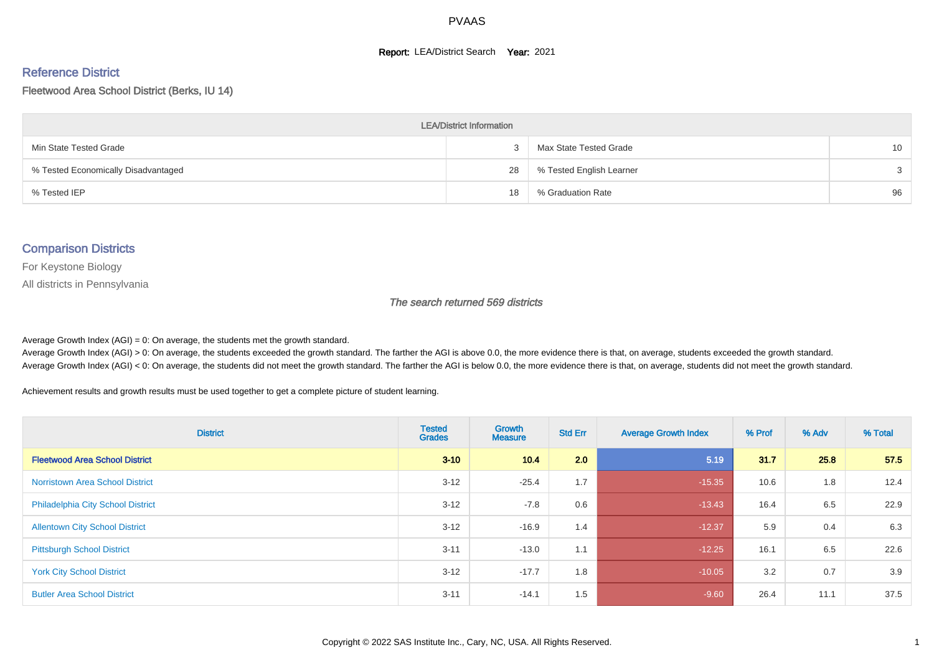#### **Report: LEA/District Search Year: 2021**

#### Reference District

#### Fleetwood Area School District (Berks, IU 14)

| <b>LEA/District Information</b>     |    |                          |    |  |  |  |  |  |  |  |
|-------------------------------------|----|--------------------------|----|--|--|--|--|--|--|--|
| Min State Tested Grade              |    | Max State Tested Grade   | 10 |  |  |  |  |  |  |  |
| % Tested Economically Disadvantaged | 28 | % Tested English Learner | 3  |  |  |  |  |  |  |  |
| % Tested IEP                        | 18 | % Graduation Rate        | 96 |  |  |  |  |  |  |  |

#### Comparison Districts

For Keystone Biology

All districts in Pennsylvania

The search returned 569 districts

Average Growth Index  $(AGI) = 0$ : On average, the students met the growth standard.

Average Growth Index (AGI) > 0: On average, the students exceeded the growth standard. The farther the AGI is above 0.0, the more evidence there is that, on average, students exceeded the growth standard. Average Growth Index (AGI) < 0: On average, the students did not meet the growth standard. The farther the AGI is below 0.0, the more evidence there is that, on average, students did not meet the growth standard.

Achievement results and growth results must be used together to get a complete picture of student learning.

| <b>District</b>                          | <b>Tested</b><br><b>Grades</b> | Growth<br><b>Measure</b> | <b>Std Err</b> | <b>Average Growth Index</b> | % Prof | % Adv | % Total |
|------------------------------------------|--------------------------------|--------------------------|----------------|-----------------------------|--------|-------|---------|
| <b>Fleetwood Area School District</b>    | $3 - 10$                       | 10.4                     | 2.0            | 5.19                        | 31.7   | 25.8  | 57.5    |
| <b>Norristown Area School District</b>   | $3 - 12$                       | $-25.4$                  | 1.7            | $-15.35$                    | 10.6   | 1.8   | 12.4    |
| <b>Philadelphia City School District</b> | $3 - 12$                       | $-7.8$                   | 0.6            | $-13.43$                    | 16.4   | 6.5   | 22.9    |
| <b>Allentown City School District</b>    | $3 - 12$                       | $-16.9$                  | 1.4            | $-12.37$                    | 5.9    | 0.4   | 6.3     |
| <b>Pittsburgh School District</b>        | $3 - 11$                       | $-13.0$                  | 1.1            | $-12.25$                    | 16.1   | 6.5   | 22.6    |
| <b>York City School District</b>         | $3 - 12$                       | $-17.7$                  | 1.8            | $-10.05$                    | 3.2    | 0.7   | 3.9     |
| <b>Butler Area School District</b>       | $3 - 11$                       | $-14.1$                  | 1.5            | $-9.60$                     | 26.4   | 11.1  | 37.5    |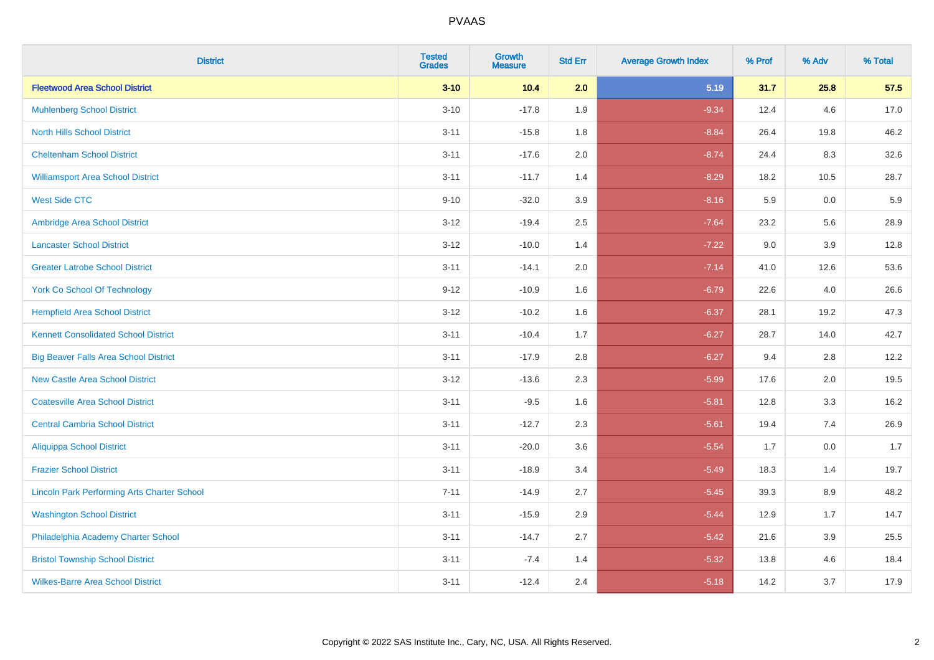| <b>District</b>                                    | <b>Tested</b><br><b>Grades</b> | Growth<br><b>Measure</b> | <b>Std Err</b> | <b>Average Growth Index</b> | % Prof | % Adv | % Total |
|----------------------------------------------------|--------------------------------|--------------------------|----------------|-----------------------------|--------|-------|---------|
| <b>Fleetwood Area School District</b>              | $3 - 10$                       | 10.4                     | 2.0            | 5.19                        | 31.7   | 25.8  | 57.5    |
| <b>Muhlenberg School District</b>                  | $3 - 10$                       | $-17.8$                  | 1.9            | $-9.34$                     | 12.4   | 4.6   | 17.0    |
| <b>North Hills School District</b>                 | $3 - 11$                       | $-15.8$                  | 1.8            | $-8.84$                     | 26.4   | 19.8  | 46.2    |
| <b>Cheltenham School District</b>                  | $3 - 11$                       | $-17.6$                  | 2.0            | $-8.74$                     | 24.4   | 8.3   | 32.6    |
| <b>Williamsport Area School District</b>           | $3 - 11$                       | $-11.7$                  | 1.4            | $-8.29$                     | 18.2   | 10.5  | 28.7    |
| <b>West Side CTC</b>                               | $9 - 10$                       | $-32.0$                  | 3.9            | $-8.16$                     | 5.9    | 0.0   | 5.9     |
| Ambridge Area School District                      | $3 - 12$                       | $-19.4$                  | 2.5            | $-7.64$                     | 23.2   | 5.6   | 28.9    |
| <b>Lancaster School District</b>                   | $3 - 12$                       | $-10.0$                  | 1.4            | $-7.22$                     | 9.0    | 3.9   | 12.8    |
| <b>Greater Latrobe School District</b>             | $3 - 11$                       | $-14.1$                  | 2.0            | $-7.14$                     | 41.0   | 12.6  | 53.6    |
| <b>York Co School Of Technology</b>                | $9 - 12$                       | $-10.9$                  | 1.6            | $-6.79$                     | 22.6   | 4.0   | 26.6    |
| <b>Hempfield Area School District</b>              | $3 - 12$                       | $-10.2$                  | 1.6            | $-6.37$                     | 28.1   | 19.2  | 47.3    |
| <b>Kennett Consolidated School District</b>        | $3 - 11$                       | $-10.4$                  | 1.7            | $-6.27$                     | 28.7   | 14.0  | 42.7    |
| <b>Big Beaver Falls Area School District</b>       | $3 - 11$                       | $-17.9$                  | 2.8            | $-6.27$                     | 9.4    | 2.8   | 12.2    |
| <b>New Castle Area School District</b>             | $3 - 12$                       | $-13.6$                  | 2.3            | $-5.99$                     | 17.6   | 2.0   | 19.5    |
| <b>Coatesville Area School District</b>            | $3 - 11$                       | $-9.5$                   | 1.6            | $-5.81$                     | 12.8   | 3.3   | 16.2    |
| <b>Central Cambria School District</b>             | $3 - 11$                       | $-12.7$                  | 2.3            | $-5.61$                     | 19.4   | 7.4   | 26.9    |
| <b>Aliquippa School District</b>                   | $3 - 11$                       | $-20.0$                  | 3.6            | $-5.54$                     | 1.7    | 0.0   | 1.7     |
| <b>Frazier School District</b>                     | $3 - 11$                       | $-18.9$                  | 3.4            | $-5.49$                     | 18.3   | 1.4   | 19.7    |
| <b>Lincoln Park Performing Arts Charter School</b> | $7 - 11$                       | $-14.9$                  | 2.7            | $-5.45$                     | 39.3   | 8.9   | 48.2    |
| <b>Washington School District</b>                  | $3 - 11$                       | $-15.9$                  | 2.9            | $-5.44$                     | 12.9   | 1.7   | 14.7    |
| Philadelphia Academy Charter School                | $3 - 11$                       | $-14.7$                  | 2.7            | $-5.42$                     | 21.6   | 3.9   | 25.5    |
| <b>Bristol Township School District</b>            | $3 - 11$                       | $-7.4$                   | 1.4            | $-5.32$                     | 13.8   | 4.6   | 18.4    |
| <b>Wilkes-Barre Area School District</b>           | $3 - 11$                       | $-12.4$                  | 2.4            | $-5.18$                     | 14.2   | 3.7   | 17.9    |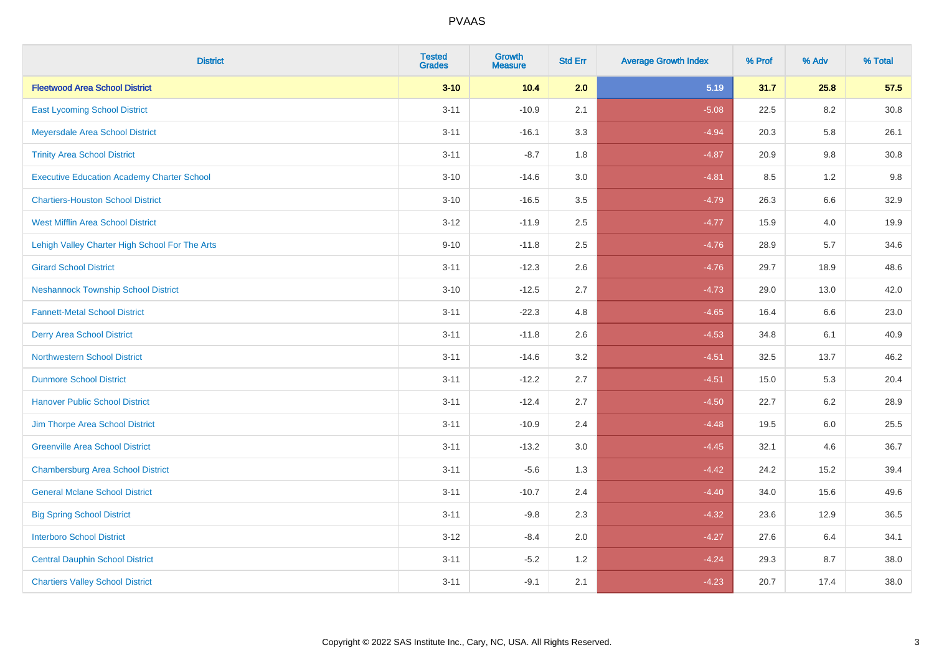| <b>District</b>                                   | <b>Tested</b><br><b>Grades</b> | <b>Growth</b><br><b>Measure</b> | <b>Std Err</b> | <b>Average Growth Index</b> | % Prof | % Adv   | % Total  |
|---------------------------------------------------|--------------------------------|---------------------------------|----------------|-----------------------------|--------|---------|----------|
| <b>Fleetwood Area School District</b>             | $3 - 10$                       | 10.4                            | 2.0            | 5.19                        | 31.7   | 25.8    | 57.5     |
| <b>East Lycoming School District</b>              | $3 - 11$                       | $-10.9$                         | 2.1            | $-5.08$                     | 22.5   | 8.2     | $30.8\,$ |
| Meyersdale Area School District                   | $3 - 11$                       | $-16.1$                         | 3.3            | $-4.94$                     | 20.3   | 5.8     | 26.1     |
| <b>Trinity Area School District</b>               | $3 - 11$                       | $-8.7$                          | 1.8            | $-4.87$                     | 20.9   | 9.8     | 30.8     |
| <b>Executive Education Academy Charter School</b> | $3 - 10$                       | $-14.6$                         | 3.0            | $-4.81$                     | 8.5    | 1.2     | 9.8      |
| <b>Chartiers-Houston School District</b>          | $3 - 10$                       | $-16.5$                         | 3.5            | $-4.79$                     | 26.3   | 6.6     | 32.9     |
| <b>West Mifflin Area School District</b>          | $3 - 12$                       | $-11.9$                         | 2.5            | $-4.77$                     | 15.9   | 4.0     | 19.9     |
| Lehigh Valley Charter High School For The Arts    | $9 - 10$                       | $-11.8$                         | 2.5            | $-4.76$                     | 28.9   | 5.7     | 34.6     |
| <b>Girard School District</b>                     | $3 - 11$                       | $-12.3$                         | 2.6            | $-4.76$                     | 29.7   | 18.9    | 48.6     |
| <b>Neshannock Township School District</b>        | $3 - 10$                       | $-12.5$                         | 2.7            | $-4.73$                     | 29.0   | 13.0    | 42.0     |
| <b>Fannett-Metal School District</b>              | $3 - 11$                       | $-22.3$                         | 4.8            | $-4.65$                     | 16.4   | 6.6     | 23.0     |
| <b>Derry Area School District</b>                 | $3 - 11$                       | $-11.8$                         | 2.6            | $-4.53$                     | 34.8   | 6.1     | 40.9     |
| <b>Northwestern School District</b>               | $3 - 11$                       | $-14.6$                         | 3.2            | $-4.51$                     | 32.5   | 13.7    | 46.2     |
| <b>Dunmore School District</b>                    | $3 - 11$                       | $-12.2$                         | 2.7            | $-4.51$                     | 15.0   | 5.3     | 20.4     |
| <b>Hanover Public School District</b>             | $3 - 11$                       | $-12.4$                         | 2.7            | $-4.50$                     | 22.7   | 6.2     | 28.9     |
| Jim Thorpe Area School District                   | $3 - 11$                       | $-10.9$                         | 2.4            | $-4.48$                     | 19.5   | $6.0\,$ | 25.5     |
| <b>Greenville Area School District</b>            | $3 - 11$                       | $-13.2$                         | 3.0            | $-4.45$                     | 32.1   | 4.6     | 36.7     |
| <b>Chambersburg Area School District</b>          | $3 - 11$                       | $-5.6$                          | 1.3            | $-4.42$                     | 24.2   | 15.2    | 39.4     |
| <b>General Mclane School District</b>             | $3 - 11$                       | $-10.7$                         | 2.4            | $-4.40$                     | 34.0   | 15.6    | 49.6     |
| <b>Big Spring School District</b>                 | $3 - 11$                       | $-9.8$                          | 2.3            | $-4.32$                     | 23.6   | 12.9    | 36.5     |
| <b>Interboro School District</b>                  | $3 - 12$                       | $-8.4$                          | 2.0            | $-4.27$                     | 27.6   | 6.4     | 34.1     |
| <b>Central Dauphin School District</b>            | $3 - 11$                       | $-5.2$                          | 1.2            | $-4.24$                     | 29.3   | 8.7     | 38.0     |
| <b>Chartiers Valley School District</b>           | $3 - 11$                       | $-9.1$                          | 2.1            | $-4.23$                     | 20.7   | 17.4    | 38.0     |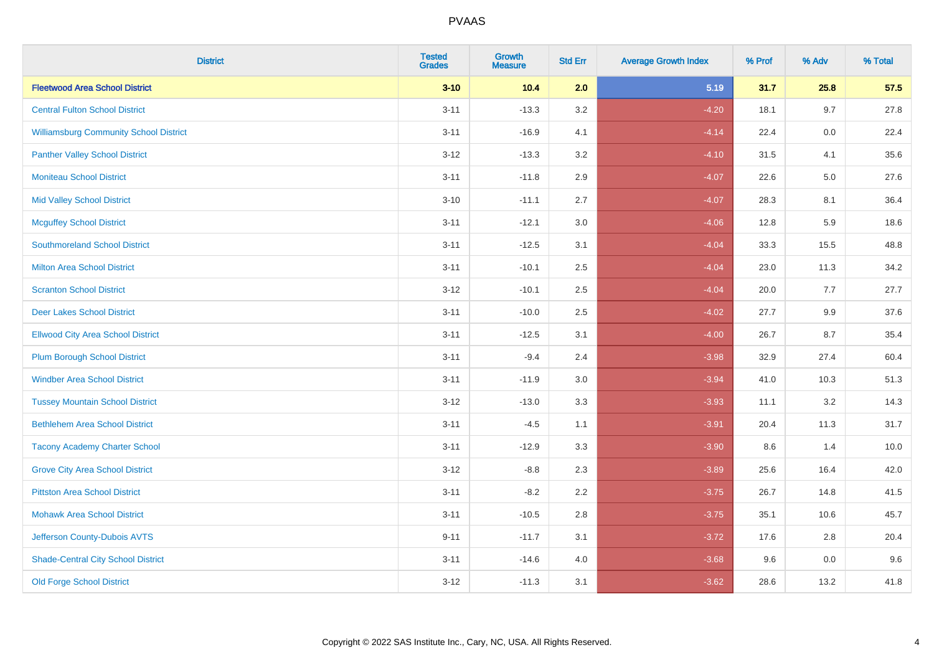| <b>District</b>                               | <b>Tested</b><br><b>Grades</b> | Growth<br><b>Measure</b> | <b>Std Err</b> | <b>Average Growth Index</b> | % Prof | % Adv | % Total |
|-----------------------------------------------|--------------------------------|--------------------------|----------------|-----------------------------|--------|-------|---------|
| <b>Fleetwood Area School District</b>         | $3 - 10$                       | 10.4                     | 2.0            | 5.19                        | 31.7   | 25.8  | 57.5    |
| <b>Central Fulton School District</b>         | $3 - 11$                       | $-13.3$                  | 3.2            | $-4.20$                     | 18.1   | 9.7   | 27.8    |
| <b>Williamsburg Community School District</b> | $3 - 11$                       | $-16.9$                  | 4.1            | $-4.14$                     | 22.4   | 0.0   | 22.4    |
| <b>Panther Valley School District</b>         | $3 - 12$                       | $-13.3$                  | 3.2            | $-4.10$                     | 31.5   | 4.1   | 35.6    |
| <b>Moniteau School District</b>               | $3 - 11$                       | $-11.8$                  | 2.9            | $-4.07$                     | 22.6   | 5.0   | 27.6    |
| <b>Mid Valley School District</b>             | $3 - 10$                       | $-11.1$                  | 2.7            | $-4.07$                     | 28.3   | 8.1   | 36.4    |
| <b>Mcguffey School District</b>               | $3 - 11$                       | $-12.1$                  | 3.0            | $-4.06$                     | 12.8   | 5.9   | 18.6    |
| <b>Southmoreland School District</b>          | $3 - 11$                       | $-12.5$                  | 3.1            | $-4.04$                     | 33.3   | 15.5  | 48.8    |
| <b>Milton Area School District</b>            | $3 - 11$                       | $-10.1$                  | 2.5            | $-4.04$                     | 23.0   | 11.3  | 34.2    |
| <b>Scranton School District</b>               | $3 - 12$                       | $-10.1$                  | 2.5            | $-4.04$                     | 20.0   | 7.7   | 27.7    |
| <b>Deer Lakes School District</b>             | $3 - 11$                       | $-10.0$                  | 2.5            | $-4.02$                     | 27.7   | 9.9   | 37.6    |
| <b>Ellwood City Area School District</b>      | $3 - 11$                       | $-12.5$                  | 3.1            | $-4.00$                     | 26.7   | 8.7   | 35.4    |
| <b>Plum Borough School District</b>           | $3 - 11$                       | $-9.4$                   | 2.4            | $-3.98$                     | 32.9   | 27.4  | 60.4    |
| <b>Windber Area School District</b>           | $3 - 11$                       | $-11.9$                  | 3.0            | $-3.94$                     | 41.0   | 10.3  | 51.3    |
| <b>Tussey Mountain School District</b>        | $3 - 12$                       | $-13.0$                  | 3.3            | $-3.93$                     | 11.1   | 3.2   | 14.3    |
| <b>Bethlehem Area School District</b>         | $3 - 11$                       | $-4.5$                   | 1.1            | $-3.91$                     | 20.4   | 11.3  | 31.7    |
| <b>Tacony Academy Charter School</b>          | $3 - 11$                       | $-12.9$                  | 3.3            | $-3.90$                     | 8.6    | 1.4   | 10.0    |
| <b>Grove City Area School District</b>        | $3-12$                         | $-8.8$                   | 2.3            | $-3.89$                     | 25.6   | 16.4  | 42.0    |
| <b>Pittston Area School District</b>          | $3 - 11$                       | $-8.2$                   | 2.2            | $-3.75$                     | 26.7   | 14.8  | 41.5    |
| <b>Mohawk Area School District</b>            | $3 - 11$                       | $-10.5$                  | 2.8            | $-3.75$                     | 35.1   | 10.6  | 45.7    |
| Jefferson County-Dubois AVTS                  | $9 - 11$                       | $-11.7$                  | 3.1            | $-3.72$                     | 17.6   | 2.8   | 20.4    |
| <b>Shade-Central City School District</b>     | $3 - 11$                       | $-14.6$                  | 4.0            | $-3.68$                     | 9.6    | 0.0   | 9.6     |
| <b>Old Forge School District</b>              | $3 - 12$                       | $-11.3$                  | 3.1            | $-3.62$                     | 28.6   | 13.2  | 41.8    |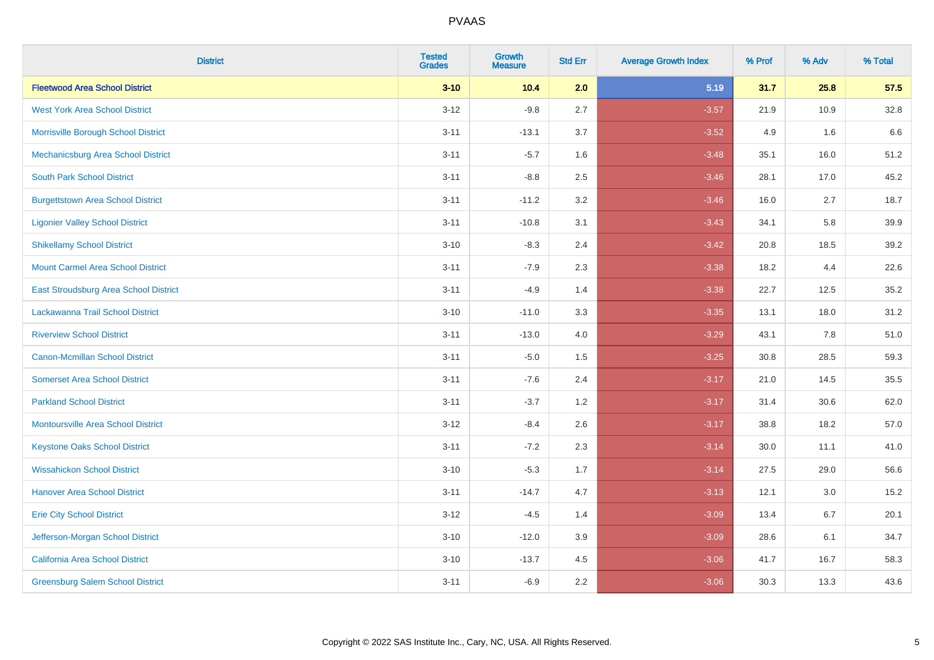| <b>District</b>                           | <b>Tested</b><br><b>Grades</b> | Growth<br><b>Measure</b> | <b>Std Err</b> | <b>Average Growth Index</b> | % Prof | % Adv | % Total |
|-------------------------------------------|--------------------------------|--------------------------|----------------|-----------------------------|--------|-------|---------|
| <b>Fleetwood Area School District</b>     | $3 - 10$                       | 10.4                     | 2.0            | 5.19                        | 31.7   | 25.8  | 57.5    |
| <b>West York Area School District</b>     | $3 - 12$                       | $-9.8$                   | 2.7            | $-3.57$                     | 21.9   | 10.9  | 32.8    |
| Morrisville Borough School District       | $3 - 11$                       | $-13.1$                  | 3.7            | $-3.52$                     | 4.9    | 1.6   | 6.6     |
| Mechanicsburg Area School District        | $3 - 11$                       | $-5.7$                   | 1.6            | $-3.48$                     | 35.1   | 16.0  | 51.2    |
| <b>South Park School District</b>         | $3 - 11$                       | $-8.8$                   | 2.5            | $-3.46$                     | 28.1   | 17.0  | 45.2    |
| <b>Burgettstown Area School District</b>  | $3 - 11$                       | $-11.2$                  | 3.2            | $-3.46$                     | 16.0   | 2.7   | 18.7    |
| <b>Ligonier Valley School District</b>    | $3 - 11$                       | $-10.8$                  | 3.1            | $-3.43$                     | 34.1   | 5.8   | 39.9    |
| <b>Shikellamy School District</b>         | $3 - 10$                       | $-8.3$                   | 2.4            | $-3.42$                     | 20.8   | 18.5  | 39.2    |
| <b>Mount Carmel Area School District</b>  | $3 - 11$                       | $-7.9$                   | 2.3            | $-3.38$                     | 18.2   | 4.4   | 22.6    |
| East Stroudsburg Area School District     | $3 - 11$                       | $-4.9$                   | 1.4            | $-3.38$                     | 22.7   | 12.5  | 35.2    |
| Lackawanna Trail School District          | $3 - 10$                       | $-11.0$                  | 3.3            | $-3.35$                     | 13.1   | 18.0  | 31.2    |
| <b>Riverview School District</b>          | $3 - 11$                       | $-13.0$                  | 4.0            | $-3.29$                     | 43.1   | 7.8   | 51.0    |
| <b>Canon-Mcmillan School District</b>     | $3 - 11$                       | $-5.0$                   | 1.5            | $-3.25$                     | 30.8   | 28.5  | 59.3    |
| <b>Somerset Area School District</b>      | $3 - 11$                       | $-7.6$                   | 2.4            | $-3.17$                     | 21.0   | 14.5  | 35.5    |
| <b>Parkland School District</b>           | $3 - 11$                       | $-3.7$                   | 1.2            | $-3.17$                     | 31.4   | 30.6  | 62.0    |
| <b>Montoursville Area School District</b> | $3 - 12$                       | $-8.4$                   | 2.6            | $-3.17$                     | 38.8   | 18.2  | 57.0    |
| <b>Keystone Oaks School District</b>      | $3 - 11$                       | $-7.2$                   | 2.3            | $-3.14$                     | 30.0   | 11.1  | 41.0    |
| <b>Wissahickon School District</b>        | $3 - 10$                       | $-5.3$                   | 1.7            | $-3.14$                     | 27.5   | 29.0  | 56.6    |
| <b>Hanover Area School District</b>       | $3 - 11$                       | $-14.7$                  | 4.7            | $-3.13$                     | 12.1   | 3.0   | 15.2    |
| <b>Erie City School District</b>          | $3-12$                         | $-4.5$                   | 1.4            | $-3.09$                     | 13.4   | 6.7   | 20.1    |
| Jefferson-Morgan School District          | $3 - 10$                       | $-12.0$                  | 3.9            | $-3.09$                     | 28.6   | 6.1   | 34.7    |
| California Area School District           | $3 - 10$                       | $-13.7$                  | 4.5            | $-3.06$                     | 41.7   | 16.7  | 58.3    |
| <b>Greensburg Salem School District</b>   | $3 - 11$                       | $-6.9$                   | 2.2            | $-3.06$                     | 30.3   | 13.3  | 43.6    |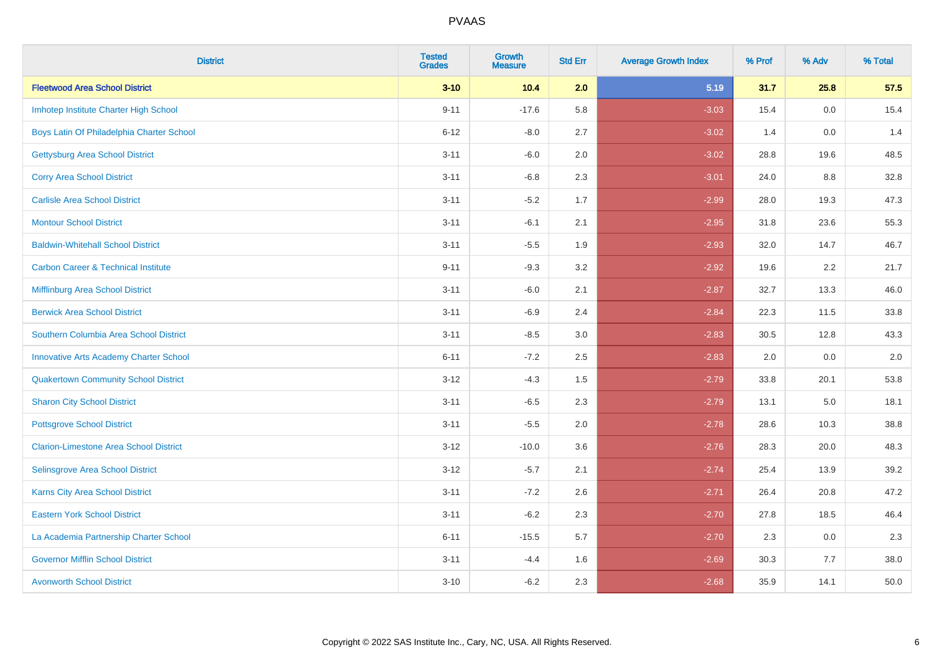| <b>District</b>                                | <b>Tested</b><br><b>Grades</b> | <b>Growth</b><br><b>Measure</b> | <b>Std Err</b> | <b>Average Growth Index</b> | % Prof | % Adv | % Total |
|------------------------------------------------|--------------------------------|---------------------------------|----------------|-----------------------------|--------|-------|---------|
| <b>Fleetwood Area School District</b>          | $3 - 10$                       | 10.4                            | 2.0            | 5.19                        | 31.7   | 25.8  | 57.5    |
| Imhotep Institute Charter High School          | $9 - 11$                       | $-17.6$                         | 5.8            | $-3.03$                     | 15.4   | 0.0   | 15.4    |
| Boys Latin Of Philadelphia Charter School      | $6 - 12$                       | $-8.0$                          | 2.7            | $-3.02$                     | 1.4    | 0.0   | 1.4     |
| <b>Gettysburg Area School District</b>         | $3 - 11$                       | $-6.0$                          | 2.0            | $-3.02$                     | 28.8   | 19.6  | 48.5    |
| <b>Corry Area School District</b>              | $3 - 11$                       | $-6.8$                          | 2.3            | $-3.01$                     | 24.0   | 8.8   | 32.8    |
| <b>Carlisle Area School District</b>           | $3 - 11$                       | $-5.2$                          | 1.7            | $-2.99$                     | 28.0   | 19.3  | 47.3    |
| <b>Montour School District</b>                 | $3 - 11$                       | $-6.1$                          | 2.1            | $-2.95$                     | 31.8   | 23.6  | 55.3    |
| <b>Baldwin-Whitehall School District</b>       | $3 - 11$                       | $-5.5$                          | 1.9            | $-2.93$                     | 32.0   | 14.7  | 46.7    |
| <b>Carbon Career &amp; Technical Institute</b> | $9 - 11$                       | $-9.3$                          | 3.2            | $-2.92$                     | 19.6   | 2.2   | 21.7    |
| <b>Mifflinburg Area School District</b>        | $3 - 11$                       | $-6.0$                          | 2.1            | $-2.87$                     | 32.7   | 13.3  | 46.0    |
| <b>Berwick Area School District</b>            | $3 - 11$                       | $-6.9$                          | 2.4            | $-2.84$                     | 22.3   | 11.5  | 33.8    |
| Southern Columbia Area School District         | $3 - 11$                       | $-8.5$                          | 3.0            | $-2.83$                     | 30.5   | 12.8  | 43.3    |
| <b>Innovative Arts Academy Charter School</b>  | $6 - 11$                       | $-7.2$                          | 2.5            | $-2.83$                     | 2.0    | 0.0   | $2.0\,$ |
| <b>Quakertown Community School District</b>    | $3 - 12$                       | $-4.3$                          | $1.5\,$        | $-2.79$                     | 33.8   | 20.1  | 53.8    |
| <b>Sharon City School District</b>             | $3 - 11$                       | $-6.5$                          | 2.3            | $-2.79$                     | 13.1   | 5.0   | 18.1    |
| <b>Pottsgrove School District</b>              | $3 - 11$                       | $-5.5$                          | 2.0            | $-2.78$                     | 28.6   | 10.3  | 38.8    |
| <b>Clarion-Limestone Area School District</b>  | $3 - 12$                       | $-10.0$                         | 3.6            | $-2.76$                     | 28.3   | 20.0  | 48.3    |
| Selinsgrove Area School District               | $3 - 12$                       | $-5.7$                          | 2.1            | $-2.74$                     | 25.4   | 13.9  | 39.2    |
| <b>Karns City Area School District</b>         | $3 - 11$                       | $-7.2$                          | 2.6            | $-2.71$                     | 26.4   | 20.8  | 47.2    |
| <b>Eastern York School District</b>            | $3 - 11$                       | $-6.2$                          | 2.3            | $-2.70$                     | 27.8   | 18.5  | 46.4    |
| La Academia Partnership Charter School         | $6 - 11$                       | $-15.5$                         | 5.7            | $-2.70$                     | 2.3    | 0.0   | 2.3     |
| <b>Governor Mifflin School District</b>        | $3 - 11$                       | $-4.4$                          | 1.6            | $-2.69$                     | 30.3   | 7.7   | 38.0    |
| <b>Avonworth School District</b>               | $3 - 10$                       | $-6.2$                          | 2.3            | $-2.68$                     | 35.9   | 14.1  | 50.0    |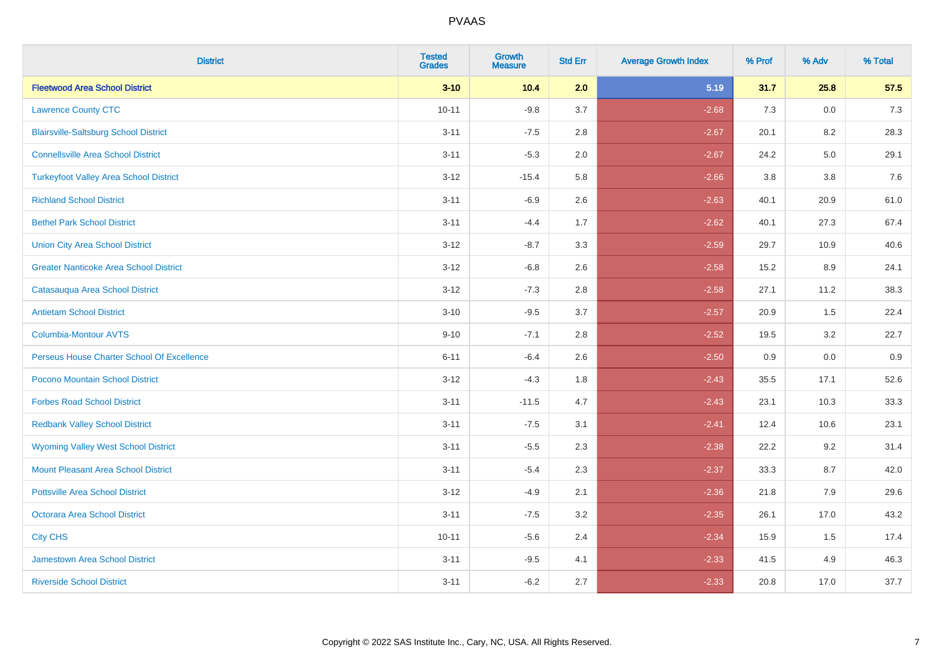| <b>District</b>                               | <b>Tested</b><br><b>Grades</b> | Growth<br><b>Measure</b> | <b>Std Err</b> | <b>Average Growth Index</b> | % Prof | % Adv   | % Total |
|-----------------------------------------------|--------------------------------|--------------------------|----------------|-----------------------------|--------|---------|---------|
| <b>Fleetwood Area School District</b>         | $3 - 10$                       | 10.4                     | 2.0            | 5.19                        | 31.7   | 25.8    | 57.5    |
| <b>Lawrence County CTC</b>                    | $10 - 11$                      | $-9.8$                   | 3.7            | $-2.68$                     | 7.3    | 0.0     | 7.3     |
| <b>Blairsville-Saltsburg School District</b>  | $3 - 11$                       | $-7.5$                   | 2.8            | $-2.67$                     | 20.1   | 8.2     | 28.3    |
| <b>Connellsville Area School District</b>     | $3 - 11$                       | $-5.3$                   | 2.0            | $-2.67$                     | 24.2   | $5.0\,$ | 29.1    |
| <b>Turkeyfoot Valley Area School District</b> | $3 - 12$                       | $-15.4$                  | 5.8            | $-2.66$                     | 3.8    | 3.8     | 7.6     |
| <b>Richland School District</b>               | $3 - 11$                       | $-6.9$                   | 2.6            | $-2.63$                     | 40.1   | 20.9    | 61.0    |
| <b>Bethel Park School District</b>            | $3 - 11$                       | $-4.4$                   | 1.7            | $-2.62$                     | 40.1   | 27.3    | 67.4    |
| <b>Union City Area School District</b>        | $3 - 12$                       | $-8.7$                   | 3.3            | $-2.59$                     | 29.7   | 10.9    | 40.6    |
| <b>Greater Nanticoke Area School District</b> | $3 - 12$                       | $-6.8$                   | 2.6            | $-2.58$                     | 15.2   | 8.9     | 24.1    |
| Catasauqua Area School District               | $3 - 12$                       | $-7.3$                   | 2.8            | $-2.58$                     | 27.1   | 11.2    | 38.3    |
| <b>Antietam School District</b>               | $3 - 10$                       | $-9.5$                   | 3.7            | $-2.57$                     | 20.9   | 1.5     | 22.4    |
| <b>Columbia-Montour AVTS</b>                  | $9 - 10$                       | $-7.1$                   | 2.8            | $-2.52$                     | 19.5   | 3.2     | 22.7    |
| Perseus House Charter School Of Excellence    | $6 - 11$                       | $-6.4$                   | 2.6            | $-2.50$                     | 0.9    | 0.0     | 0.9     |
| Pocono Mountain School District               | $3 - 12$                       | $-4.3$                   | 1.8            | $-2.43$                     | 35.5   | 17.1    | 52.6    |
| <b>Forbes Road School District</b>            | $3 - 11$                       | $-11.5$                  | 4.7            | $-2.43$                     | 23.1   | 10.3    | 33.3    |
| <b>Redbank Valley School District</b>         | $3 - 11$                       | $-7.5$                   | 3.1            | $-2.41$                     | 12.4   | 10.6    | 23.1    |
| <b>Wyoming Valley West School District</b>    | $3 - 11$                       | $-5.5$                   | 2.3            | $-2.38$                     | 22.2   | 9.2     | 31.4    |
| <b>Mount Pleasant Area School District</b>    | $3 - 11$                       | $-5.4$                   | 2.3            | $-2.37$                     | 33.3   | 8.7     | 42.0    |
| <b>Pottsville Area School District</b>        | $3 - 12$                       | $-4.9$                   | 2.1            | $-2.36$                     | 21.8   | 7.9     | 29.6    |
| <b>Octorara Area School District</b>          | $3 - 11$                       | $-7.5$                   | 3.2            | $-2.35$                     | 26.1   | 17.0    | 43.2    |
| <b>City CHS</b>                               | $10 - 11$                      | $-5.6$                   | 2.4            | $-2.34$                     | 15.9   | 1.5     | 17.4    |
| <b>Jamestown Area School District</b>         | $3 - 11$                       | $-9.5$                   | 4.1            | $-2.33$                     | 41.5   | 4.9     | 46.3    |
| <b>Riverside School District</b>              | $3 - 11$                       | $-6.2$                   | 2.7            | $-2.33$                     | 20.8   | 17.0    | 37.7    |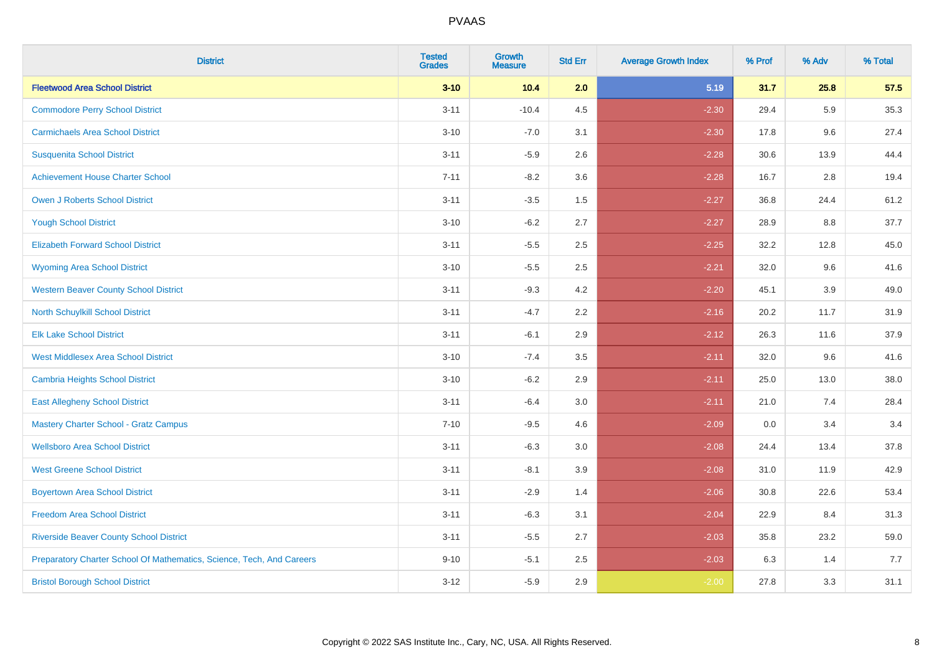| <b>District</b>                                                       | <b>Tested</b><br><b>Grades</b> | <b>Growth</b><br><b>Measure</b> | <b>Std Err</b> | <b>Average Growth Index</b> | % Prof | % Adv | % Total |
|-----------------------------------------------------------------------|--------------------------------|---------------------------------|----------------|-----------------------------|--------|-------|---------|
| <b>Fleetwood Area School District</b>                                 | $3 - 10$                       | 10.4                            | 2.0            | 5.19                        | 31.7   | 25.8  | 57.5    |
| <b>Commodore Perry School District</b>                                | $3 - 11$                       | $-10.4$                         | 4.5            | $-2.30$                     | 29.4   | 5.9   | 35.3    |
| <b>Carmichaels Area School District</b>                               | $3 - 10$                       | $-7.0$                          | 3.1            | $-2.30$                     | 17.8   | 9.6   | 27.4    |
| <b>Susquenita School District</b>                                     | $3 - 11$                       | $-5.9$                          | 2.6            | $-2.28$                     | 30.6   | 13.9  | 44.4    |
| <b>Achievement House Charter School</b>                               | $7 - 11$                       | $-8.2$                          | 3.6            | $-2.28$                     | 16.7   | 2.8   | 19.4    |
| <b>Owen J Roberts School District</b>                                 | $3 - 11$                       | $-3.5$                          | 1.5            | $-2.27$                     | 36.8   | 24.4  | 61.2    |
| <b>Yough School District</b>                                          | $3 - 10$                       | $-6.2$                          | 2.7            | $-2.27$                     | 28.9   | 8.8   | 37.7    |
| <b>Elizabeth Forward School District</b>                              | $3 - 11$                       | $-5.5$                          | 2.5            | $-2.25$                     | 32.2   | 12.8  | 45.0    |
| <b>Wyoming Area School District</b>                                   | $3 - 10$                       | $-5.5$                          | 2.5            | $-2.21$                     | 32.0   | 9.6   | 41.6    |
| <b>Western Beaver County School District</b>                          | $3 - 11$                       | $-9.3$                          | 4.2            | $-2.20$                     | 45.1   | 3.9   | 49.0    |
| North Schuylkill School District                                      | $3 - 11$                       | $-4.7$                          | 2.2            | $-2.16$                     | 20.2   | 11.7  | 31.9    |
| <b>Elk Lake School District</b>                                       | $3 - 11$                       | $-6.1$                          | 2.9            | $-2.12$                     | 26.3   | 11.6  | 37.9    |
| West Middlesex Area School District                                   | $3 - 10$                       | $-7.4$                          | $3.5\,$        | $-2.11$                     | 32.0   | 9.6   | 41.6    |
| <b>Cambria Heights School District</b>                                | $3 - 10$                       | $-6.2$                          | 2.9            | $-2.11$                     | 25.0   | 13.0  | 38.0    |
| <b>East Allegheny School District</b>                                 | $3 - 11$                       | $-6.4$                          | 3.0            | $-2.11$                     | 21.0   | 7.4   | 28.4    |
| Mastery Charter School - Gratz Campus                                 | $7 - 10$                       | $-9.5$                          | 4.6            | $-2.09$                     | 0.0    | 3.4   | 3.4     |
| <b>Wellsboro Area School District</b>                                 | $3 - 11$                       | $-6.3$                          | 3.0            | $-2.08$                     | 24.4   | 13.4  | 37.8    |
| <b>West Greene School District</b>                                    | $3 - 11$                       | $-8.1$                          | 3.9            | $-2.08$                     | 31.0   | 11.9  | 42.9    |
| <b>Boyertown Area School District</b>                                 | $3 - 11$                       | $-2.9$                          | 1.4            | $-2.06$                     | 30.8   | 22.6  | 53.4    |
| <b>Freedom Area School District</b>                                   | $3 - 11$                       | $-6.3$                          | 3.1            | $-2.04$                     | 22.9   | 8.4   | 31.3    |
| <b>Riverside Beaver County School District</b>                        | $3 - 11$                       | $-5.5$                          | 2.7            | $-2.03$                     | 35.8   | 23.2  | 59.0    |
| Preparatory Charter School Of Mathematics, Science, Tech, And Careers | $9 - 10$                       | $-5.1$                          | 2.5            | $-2.03$                     | 6.3    | 1.4   | 7.7     |
| <b>Bristol Borough School District</b>                                | $3 - 12$                       | $-5.9$                          | 2.9            | $-2.00$                     | 27.8   | 3.3   | 31.1    |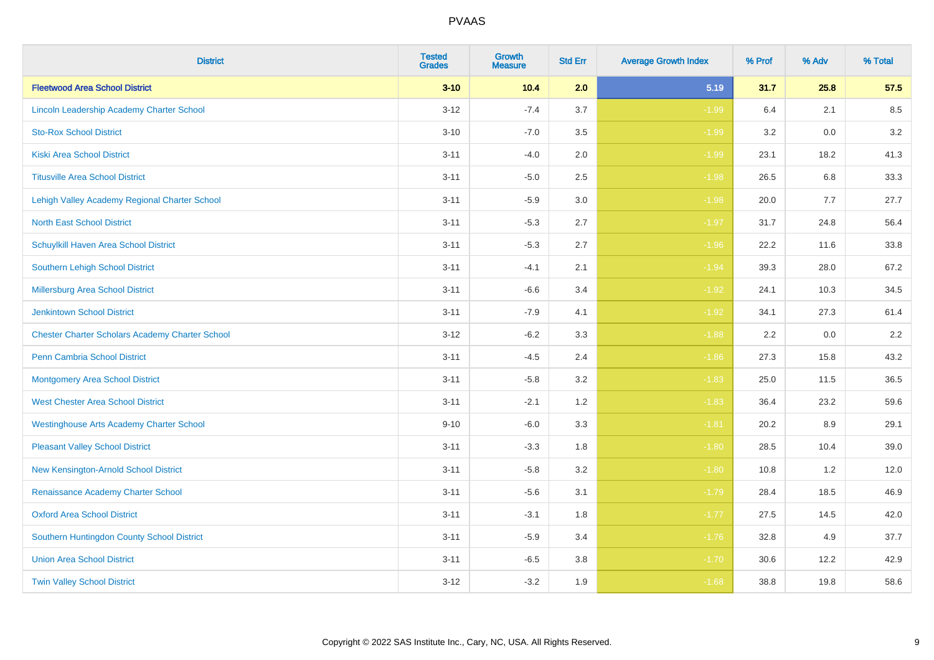| <b>District</b>                                        | <b>Tested</b><br><b>Grades</b> | Growth<br><b>Measure</b> | <b>Std Err</b> | <b>Average Growth Index</b> | % Prof | % Adv | % Total |
|--------------------------------------------------------|--------------------------------|--------------------------|----------------|-----------------------------|--------|-------|---------|
| <b>Fleetwood Area School District</b>                  | $3 - 10$                       | 10.4                     | 2.0            | 5.19                        | 31.7   | 25.8  | 57.5    |
| Lincoln Leadership Academy Charter School              | $3 - 12$                       | $-7.4$                   | 3.7            | $-1.99$                     | 6.4    | 2.1   | 8.5     |
| <b>Sto-Rox School District</b>                         | $3 - 10$                       | $-7.0$                   | 3.5            | $-1.99$                     | 3.2    | 0.0   | 3.2     |
| <b>Kiski Area School District</b>                      | $3 - 11$                       | $-4.0$                   | 2.0            | $-1.99$                     | 23.1   | 18.2  | 41.3    |
| <b>Titusville Area School District</b>                 | $3 - 11$                       | $-5.0$                   | 2.5            | $-1.98$                     | 26.5   | 6.8   | 33.3    |
| Lehigh Valley Academy Regional Charter School          | $3 - 11$                       | $-5.9$                   | 3.0            | $-1.98$                     | 20.0   | 7.7   | 27.7    |
| <b>North East School District</b>                      | $3 - 11$                       | $-5.3$                   | 2.7            | $-1.97$                     | 31.7   | 24.8  | 56.4    |
| Schuylkill Haven Area School District                  | $3 - 11$                       | $-5.3$                   | 2.7            | $-1.96$                     | 22.2   | 11.6  | 33.8    |
| <b>Southern Lehigh School District</b>                 | $3 - 11$                       | $-4.1$                   | 2.1            | $-1.94$                     | 39.3   | 28.0  | 67.2    |
| Millersburg Area School District                       | $3 - 11$                       | $-6.6$                   | 3.4            | $-1.92$                     | 24.1   | 10.3  | 34.5    |
| <b>Jenkintown School District</b>                      | $3 - 11$                       | $-7.9$                   | 4.1            | $-1.92$                     | 34.1   | 27.3  | 61.4    |
| <b>Chester Charter Scholars Academy Charter School</b> | $3 - 12$                       | $-6.2$                   | 3.3            | $-1.88$                     | 2.2    | 0.0   | 2.2     |
| Penn Cambria School District                           | $3 - 11$                       | $-4.5$                   | 2.4            | $-1.86$                     | 27.3   | 15.8  | 43.2    |
| <b>Montgomery Area School District</b>                 | $3 - 11$                       | $-5.8$                   | 3.2            | $-1.83$                     | 25.0   | 11.5  | 36.5    |
| <b>West Chester Area School District</b>               | $3 - 11$                       | $-2.1$                   | 1.2            | $-1.83$                     | 36.4   | 23.2  | 59.6    |
| <b>Westinghouse Arts Academy Charter School</b>        | $9 - 10$                       | $-6.0$                   | 3.3            | $-1.81$                     | 20.2   | 8.9   | 29.1    |
| <b>Pleasant Valley School District</b>                 | $3 - 11$                       | $-3.3$                   | 1.8            | $-1.80$                     | 28.5   | 10.4  | 39.0    |
| New Kensington-Arnold School District                  | $3 - 11$                       | $-5.8$                   | 3.2            | $-1.80$                     | 10.8   | 1.2   | 12.0    |
| Renaissance Academy Charter School                     | $3 - 11$                       | $-5.6$                   | 3.1            | $-1.79$                     | 28.4   | 18.5  | 46.9    |
| <b>Oxford Area School District</b>                     | $3 - 11$                       | $-3.1$                   | 1.8            | $-1.77$                     | 27.5   | 14.5  | 42.0    |
| Southern Huntingdon County School District             | $3 - 11$                       | $-5.9$                   | 3.4            | $-1.76$                     | 32.8   | 4.9   | 37.7    |
| <b>Union Area School District</b>                      | $3 - 11$                       | $-6.5$                   | 3.8            | $-1.70$                     | 30.6   | 12.2  | 42.9    |
| <b>Twin Valley School District</b>                     | $3 - 12$                       | $-3.2$                   | 1.9            | $-1.68$                     | 38.8   | 19.8  | 58.6    |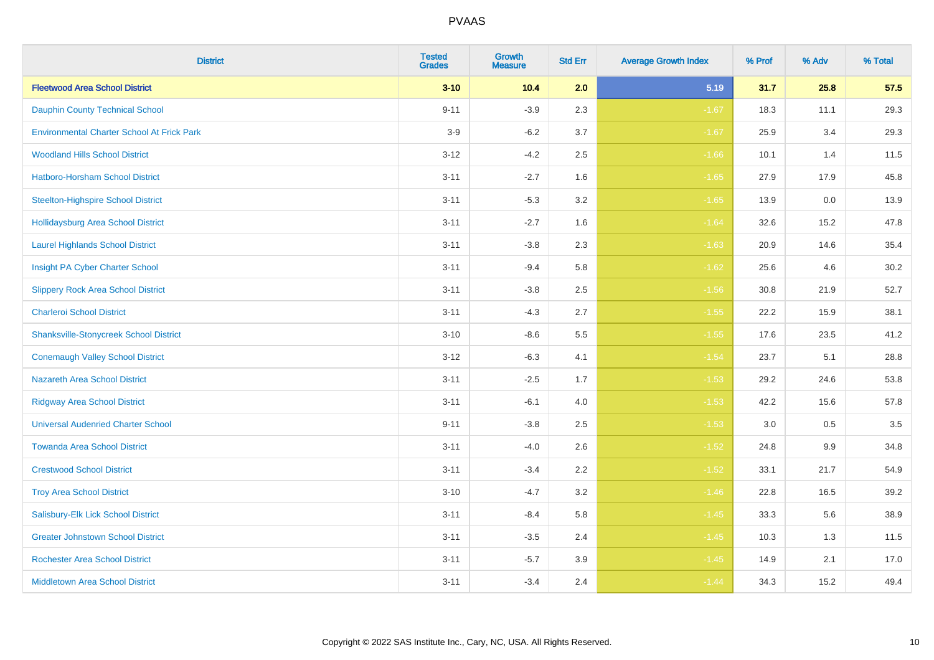| <b>District</b>                                   | <b>Tested</b><br><b>Grades</b> | <b>Growth</b><br><b>Measure</b> | <b>Std Err</b> | <b>Average Growth Index</b> | % Prof | % Adv | % Total |
|---------------------------------------------------|--------------------------------|---------------------------------|----------------|-----------------------------|--------|-------|---------|
| <b>Fleetwood Area School District</b>             | $3 - 10$                       | 10.4                            | 2.0            | 5.19                        | 31.7   | 25.8  | 57.5    |
| <b>Dauphin County Technical School</b>            | $9 - 11$                       | $-3.9$                          | 2.3            | $-1.67$                     | 18.3   | 11.1  | 29.3    |
| <b>Environmental Charter School At Frick Park</b> | $3-9$                          | $-6.2$                          | 3.7            | $-1.67$                     | 25.9   | 3.4   | 29.3    |
| <b>Woodland Hills School District</b>             | $3 - 12$                       | $-4.2$                          | 2.5            | $-1.66$                     | 10.1   | 1.4   | 11.5    |
| Hatboro-Horsham School District                   | $3 - 11$                       | $-2.7$                          | 1.6            | $-1.65$                     | 27.9   | 17.9  | 45.8    |
| <b>Steelton-Highspire School District</b>         | $3 - 11$                       | $-5.3$                          | 3.2            | $-1.65$                     | 13.9   | 0.0   | 13.9    |
| <b>Hollidaysburg Area School District</b>         | $3 - 11$                       | $-2.7$                          | 1.6            | $-1.64$                     | 32.6   | 15.2  | 47.8    |
| <b>Laurel Highlands School District</b>           | $3 - 11$                       | $-3.8$                          | 2.3            | $-1.63$                     | 20.9   | 14.6  | 35.4    |
| Insight PA Cyber Charter School                   | $3 - 11$                       | $-9.4$                          | 5.8            | $-1.62$                     | 25.6   | 4.6   | 30.2    |
| <b>Slippery Rock Area School District</b>         | $3 - 11$                       | $-3.8$                          | 2.5            | $-1.56$                     | 30.8   | 21.9  | 52.7    |
| <b>Charleroi School District</b>                  | $3 - 11$                       | $-4.3$                          | 2.7            | $-1.55$                     | 22.2   | 15.9  | 38.1    |
| <b>Shanksville-Stonycreek School District</b>     | $3 - 10$                       | $-8.6$                          | 5.5            | $-1.55$                     | 17.6   | 23.5  | 41.2    |
| <b>Conemaugh Valley School District</b>           | $3 - 12$                       | $-6.3$                          | 4.1            | $-1.54$                     | 23.7   | 5.1   | 28.8    |
| <b>Nazareth Area School District</b>              | $3 - 11$                       | $-2.5$                          | 1.7            | $-1.53$                     | 29.2   | 24.6  | 53.8    |
| <b>Ridgway Area School District</b>               | $3 - 11$                       | $-6.1$                          | 4.0            | $-1.53$                     | 42.2   | 15.6  | 57.8    |
| <b>Universal Audenried Charter School</b>         | $9 - 11$                       | $-3.8$                          | 2.5            | $-1.53$                     | 3.0    | 0.5   | 3.5     |
| <b>Towanda Area School District</b>               | $3 - 11$                       | $-4.0$                          | 2.6            | $-1.52$                     | 24.8   | 9.9   | 34.8    |
| <b>Crestwood School District</b>                  | $3 - 11$                       | $-3.4$                          | 2.2            | $-1.52$                     | 33.1   | 21.7  | 54.9    |
| <b>Troy Area School District</b>                  | $3 - 10$                       | $-4.7$                          | 3.2            | $-1.46$                     | 22.8   | 16.5  | 39.2    |
| Salisbury-Elk Lick School District                | $3 - 11$                       | $-8.4$                          | 5.8            | $-1.45$                     | 33.3   | 5.6   | 38.9    |
| <b>Greater Johnstown School District</b>          | $3 - 11$                       | $-3.5$                          | 2.4            | $-1.45$                     | 10.3   | 1.3   | 11.5    |
| <b>Rochester Area School District</b>             | $3 - 11$                       | $-5.7$                          | 3.9            | $-1.45$                     | 14.9   | 2.1   | 17.0    |
| <b>Middletown Area School District</b>            | $3 - 11$                       | $-3.4$                          | 2.4            | $-1.44$                     | 34.3   | 15.2  | 49.4    |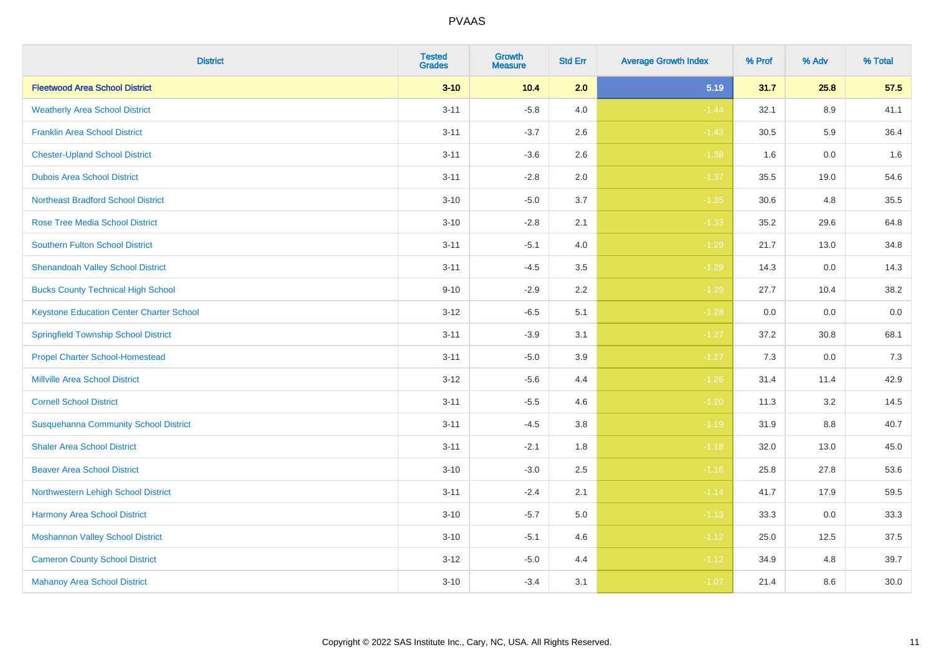| <b>District</b>                                 | <b>Tested</b><br><b>Grades</b> | Growth<br><b>Measure</b> | <b>Std Err</b> | <b>Average Growth Index</b> | % Prof | % Adv | % Total |
|-------------------------------------------------|--------------------------------|--------------------------|----------------|-----------------------------|--------|-------|---------|
| <b>Fleetwood Area School District</b>           | $3 - 10$                       | 10.4                     | 2.0            | 5.19                        | 31.7   | 25.8  | 57.5    |
| <b>Weatherly Area School District</b>           | $3 - 11$                       | $-5.8$                   | 4.0            | $-1.44$                     | 32.1   | 8.9   | 41.1    |
| <b>Franklin Area School District</b>            | $3 - 11$                       | $-3.7$                   | 2.6            | $-1.43$                     | 30.5   | 5.9   | 36.4    |
| <b>Chester-Upland School District</b>           | $3 - 11$                       | $-3.6$                   | 2.6            | $-1.38$                     | 1.6    | 0.0   | 1.6     |
| <b>Dubois Area School District</b>              | $3 - 11$                       | $-2.8$                   | 2.0            | $-1.37$                     | 35.5   | 19.0  | 54.6    |
| <b>Northeast Bradford School District</b>       | $3 - 10$                       | $-5.0$                   | 3.7            | $-1.35$                     | 30.6   | 4.8   | 35.5    |
| <b>Rose Tree Media School District</b>          | $3 - 10$                       | $-2.8$                   | 2.1            | $-1.33$                     | 35.2   | 29.6  | 64.8    |
| <b>Southern Fulton School District</b>          | $3 - 11$                       | $-5.1$                   | 4.0            | $-1.29$                     | 21.7   | 13.0  | 34.8    |
| <b>Shenandoah Valley School District</b>        | $3 - 11$                       | $-4.5$                   | 3.5            | $-1.29$                     | 14.3   | 0.0   | 14.3    |
| <b>Bucks County Technical High School</b>       | $9 - 10$                       | $-2.9$                   | $2.2\,$        | $-1.29$                     | 27.7   | 10.4  | 38.2    |
| <b>Keystone Education Center Charter School</b> | $3 - 12$                       | $-6.5$                   | 5.1            | $-1.28$                     | 0.0    | 0.0   | $0.0\,$ |
| <b>Springfield Township School District</b>     | $3 - 11$                       | $-3.9$                   | 3.1            | $-1.27$                     | 37.2   | 30.8  | 68.1    |
| <b>Propel Charter School-Homestead</b>          | $3 - 11$                       | $-5.0$                   | 3.9            | $-1.27$                     | 7.3    | 0.0   | 7.3     |
| <b>Millville Area School District</b>           | $3 - 12$                       | $-5.6$                   | 4.4            | $-1.26$                     | 31.4   | 11.4  | 42.9    |
| <b>Cornell School District</b>                  | $3 - 11$                       | $-5.5$                   | 4.6            | $-1.20$                     | 11.3   | 3.2   | 14.5    |
| <b>Susquehanna Community School District</b>    | $3 - 11$                       | $-4.5$                   | 3.8            | $-1.19$                     | 31.9   | 8.8   | 40.7    |
| <b>Shaler Area School District</b>              | $3 - 11$                       | $-2.1$                   | 1.8            | $-1.18$                     | 32.0   | 13.0  | 45.0    |
| <b>Beaver Area School District</b>              | $3 - 10$                       | $-3.0$                   | 2.5            | $-1.16$                     | 25.8   | 27.8  | 53.6    |
| Northwestern Lehigh School District             | $3 - 11$                       | $-2.4$                   | 2.1            | $-1.14$                     | 41.7   | 17.9  | 59.5    |
| Harmony Area School District                    | $3 - 10$                       | $-5.7$                   | 5.0            | $-1.13$                     | 33.3   | 0.0   | 33.3    |
| <b>Moshannon Valley School District</b>         | $3 - 10$                       | $-5.1$                   | 4.6            | $-1.12$                     | 25.0   | 12.5  | 37.5    |
| <b>Cameron County School District</b>           | $3 - 12$                       | $-5.0$                   | 4.4            | $-1.12$                     | 34.9   | 4.8   | 39.7    |
| <b>Mahanoy Area School District</b>             | $3 - 10$                       | $-3.4$                   | 3.1            | $-1.07$                     | 21.4   | 8.6   | 30.0    |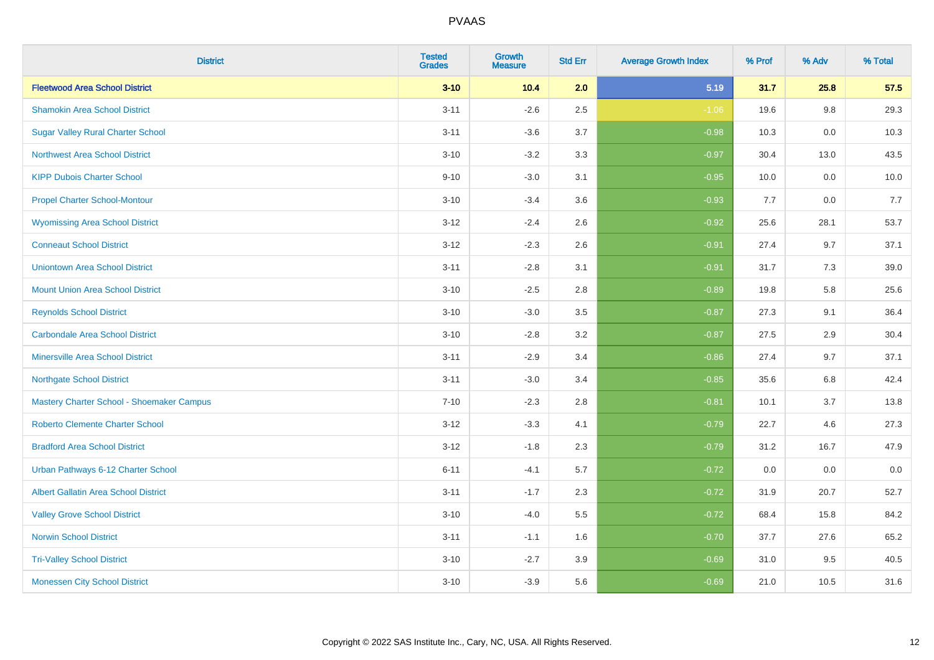| <b>District</b>                             | <b>Tested</b><br><b>Grades</b> | Growth<br><b>Measure</b> | <b>Std Err</b> | <b>Average Growth Index</b> | % Prof | % Adv | % Total |
|---------------------------------------------|--------------------------------|--------------------------|----------------|-----------------------------|--------|-------|---------|
| <b>Fleetwood Area School District</b>       | $3 - 10$                       | 10.4                     | 2.0            | 5.19                        | 31.7   | 25.8  | 57.5    |
| <b>Shamokin Area School District</b>        | $3 - 11$                       | $-2.6$                   | 2.5            | $-1.06$                     | 19.6   | 9.8   | 29.3    |
| <b>Sugar Valley Rural Charter School</b>    | $3 - 11$                       | $-3.6$                   | 3.7            | $-0.98$                     | 10.3   | 0.0   | 10.3    |
| <b>Northwest Area School District</b>       | $3 - 10$                       | $-3.2$                   | 3.3            | $-0.97$                     | 30.4   | 13.0  | 43.5    |
| <b>KIPP Dubois Charter School</b>           | $9 - 10$                       | $-3.0$                   | 3.1            | $-0.95$                     | 10.0   | 0.0   | 10.0    |
| <b>Propel Charter School-Montour</b>        | $3 - 10$                       | $-3.4$                   | 3.6            | $-0.93$                     | 7.7    | 0.0   | 7.7     |
| <b>Wyomissing Area School District</b>      | $3 - 12$                       | $-2.4$                   | 2.6            | $-0.92$                     | 25.6   | 28.1  | 53.7    |
| <b>Conneaut School District</b>             | $3 - 12$                       | $-2.3$                   | 2.6            | $-0.91$                     | 27.4   | 9.7   | 37.1    |
| <b>Uniontown Area School District</b>       | $3 - 11$                       | $-2.8$                   | 3.1            | $-0.91$                     | 31.7   | 7.3   | 39.0    |
| <b>Mount Union Area School District</b>     | $3 - 10$                       | $-2.5$                   | 2.8            | $-0.89$                     | 19.8   | 5.8   | 25.6    |
| <b>Reynolds School District</b>             | $3 - 10$                       | $-3.0$                   | 3.5            | $-0.87$                     | 27.3   | 9.1   | 36.4    |
| <b>Carbondale Area School District</b>      | $3 - 10$                       | $-2.8$                   | 3.2            | $-0.87$                     | 27.5   | 2.9   | 30.4    |
| <b>Minersville Area School District</b>     | $3 - 11$                       | $-2.9$                   | 3.4            | $-0.86$                     | 27.4   | 9.7   | 37.1    |
| <b>Northgate School District</b>            | $3 - 11$                       | $-3.0$                   | 3.4            | $-0.85$                     | 35.6   | 6.8   | 42.4    |
| Mastery Charter School - Shoemaker Campus   | $7 - 10$                       | $-2.3$                   | 2.8            | $-0.81$                     | 10.1   | 3.7   | 13.8    |
| Roberto Clemente Charter School             | $3 - 12$                       | $-3.3$                   | 4.1            | $-0.79$                     | 22.7   | 4.6   | 27.3    |
| <b>Bradford Area School District</b>        | $3 - 12$                       | $-1.8$                   | 2.3            | $-0.79$                     | 31.2   | 16.7  | 47.9    |
| Urban Pathways 6-12 Charter School          | $6 - 11$                       | $-4.1$                   | 5.7            | $-0.72$                     | 0.0    | 0.0   | $0.0\,$ |
| <b>Albert Gallatin Area School District</b> | $3 - 11$                       | $-1.7$                   | 2.3            | $-0.72$                     | 31.9   | 20.7  | 52.7    |
| <b>Valley Grove School District</b>         | $3 - 10$                       | $-4.0$                   | 5.5            | $-0.72$                     | 68.4   | 15.8  | 84.2    |
| <b>Norwin School District</b>               | $3 - 11$                       | $-1.1$                   | 1.6            | $-0.70$                     | 37.7   | 27.6  | 65.2    |
| <b>Tri-Valley School District</b>           | $3 - 10$                       | $-2.7$                   | 3.9            | $-0.69$                     | 31.0   | 9.5   | 40.5    |
| <b>Monessen City School District</b>        | $3 - 10$                       | $-3.9$                   | 5.6            | $-0.69$                     | 21.0   | 10.5  | 31.6    |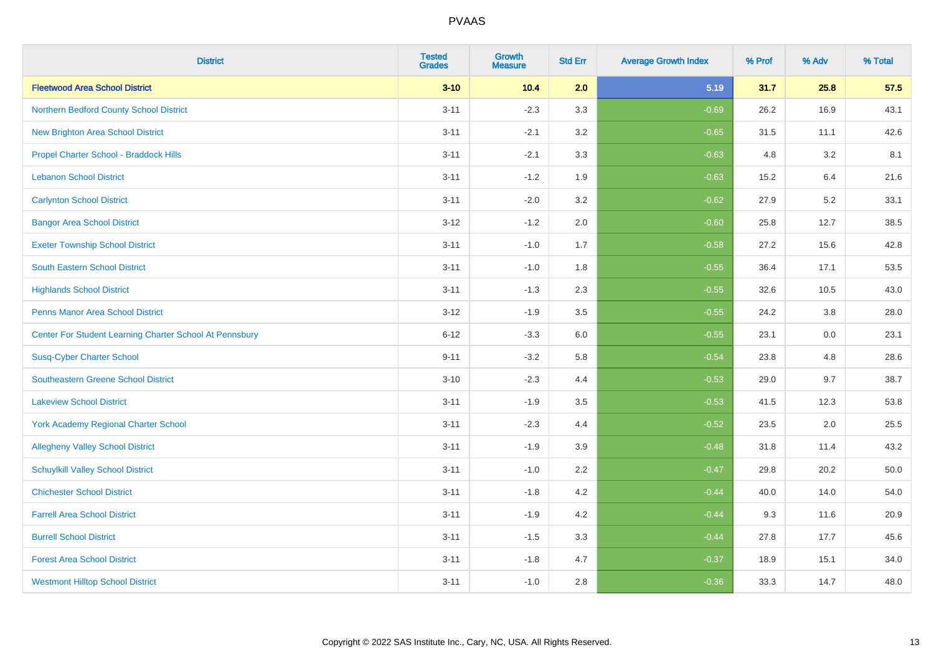| <b>District</b>                                         | <b>Tested</b><br><b>Grades</b> | <b>Growth</b><br><b>Measure</b> | <b>Std Err</b> | <b>Average Growth Index</b> | % Prof | % Adv | % Total |
|---------------------------------------------------------|--------------------------------|---------------------------------|----------------|-----------------------------|--------|-------|---------|
| <b>Fleetwood Area School District</b>                   | $3 - 10$                       | 10.4                            | 2.0            | 5.19                        | 31.7   | 25.8  | 57.5    |
| Northern Bedford County School District                 | $3 - 11$                       | $-2.3$                          | 3.3            | $-0.69$                     | 26.2   | 16.9  | 43.1    |
| <b>New Brighton Area School District</b>                | $3 - 11$                       | $-2.1$                          | 3.2            | $-0.65$                     | 31.5   | 11.1  | 42.6    |
| Propel Charter School - Braddock Hills                  | $3 - 11$                       | $-2.1$                          | 3.3            | $-0.63$                     | 4.8    | 3.2   | 8.1     |
| <b>Lebanon School District</b>                          | $3 - 11$                       | $-1.2$                          | 1.9            | $-0.63$                     | 15.2   | 6.4   | 21.6    |
| <b>Carlynton School District</b>                        | $3 - 11$                       | $-2.0$                          | 3.2            | $-0.62$                     | 27.9   | 5.2   | 33.1    |
| <b>Bangor Area School District</b>                      | $3 - 12$                       | $-1.2$                          | 2.0            | $-0.60$                     | 25.8   | 12.7  | 38.5    |
| <b>Exeter Township School District</b>                  | $3 - 11$                       | $-1.0$                          | 1.7            | $-0.58$                     | 27.2   | 15.6  | 42.8    |
| <b>South Eastern School District</b>                    | $3 - 11$                       | $-1.0$                          | 1.8            | $-0.55$                     | 36.4   | 17.1  | 53.5    |
| <b>Highlands School District</b>                        | $3 - 11$                       | $-1.3$                          | 2.3            | $-0.55$                     | 32.6   | 10.5  | 43.0    |
| <b>Penns Manor Area School District</b>                 | $3 - 12$                       | $-1.9$                          | 3.5            | $-0.55$                     | 24.2   | 3.8   | 28.0    |
| Center For Student Learning Charter School At Pennsbury | $6 - 12$                       | $-3.3$                          | 6.0            | $-0.55$                     | 23.1   | 0.0   | 23.1    |
| <b>Susq-Cyber Charter School</b>                        | $9 - 11$                       | $-3.2$                          | 5.8            | $-0.54$                     | 23.8   | 4.8   | 28.6    |
| Southeastern Greene School District                     | $3 - 10$                       | $-2.3$                          | 4.4            | $-0.53$                     | 29.0   | 9.7   | 38.7    |
| <b>Lakeview School District</b>                         | $3 - 11$                       | $-1.9$                          | 3.5            | $-0.53$                     | 41.5   | 12.3  | 53.8    |
| <b>York Academy Regional Charter School</b>             | $3 - 11$                       | $-2.3$                          | 4.4            | $-0.52$                     | 23.5   | 2.0   | 25.5    |
| <b>Allegheny Valley School District</b>                 | $3 - 11$                       | $-1.9$                          | 3.9            | $-0.48$                     | 31.8   | 11.4  | 43.2    |
| <b>Schuylkill Valley School District</b>                | $3 - 11$                       | $-1.0$                          | 2.2            | $-0.47$                     | 29.8   | 20.2  | 50.0    |
| <b>Chichester School District</b>                       | $3 - 11$                       | $-1.8$                          | 4.2            | $-0.44$                     | 40.0   | 14.0  | 54.0    |
| <b>Farrell Area School District</b>                     | $3 - 11$                       | $-1.9$                          | 4.2            | $-0.44$                     | 9.3    | 11.6  | 20.9    |
| <b>Burrell School District</b>                          | $3 - 11$                       | $-1.5$                          | 3.3            | $-0.44$                     | 27.8   | 17.7  | 45.6    |
| <b>Forest Area School District</b>                      | $3 - 11$                       | $-1.8$                          | 4.7            | $-0.37$                     | 18.9   | 15.1  | 34.0    |
| <b>Westmont Hilltop School District</b>                 | $3 - 11$                       | $-1.0$                          | 2.8            | $-0.36$                     | 33.3   | 14.7  | 48.0    |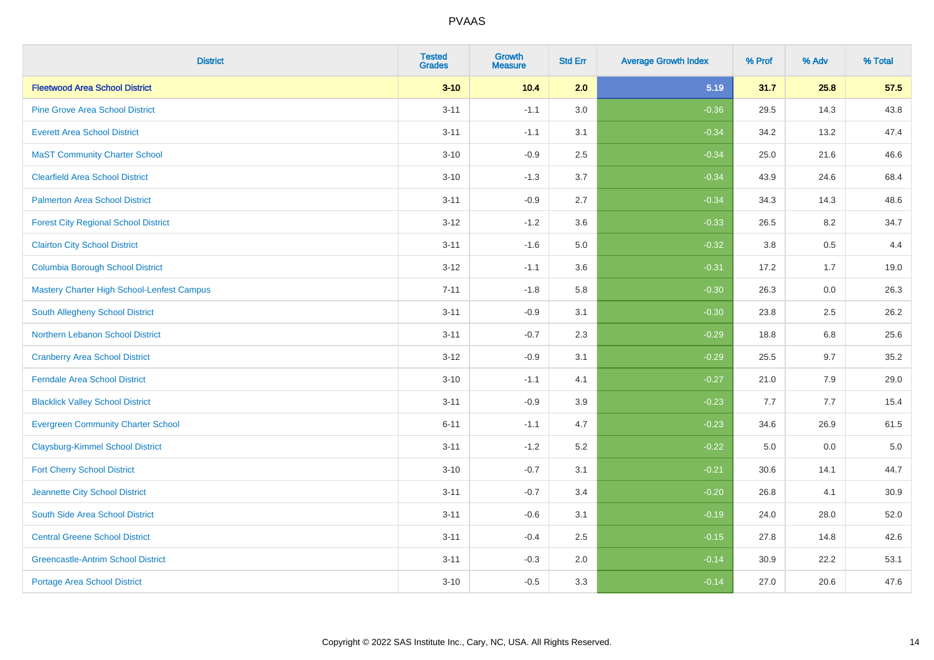| <b>District</b>                             | <b>Tested</b><br><b>Grades</b> | <b>Growth</b><br><b>Measure</b> | <b>Std Err</b> | <b>Average Growth Index</b> | % Prof | % Adv   | % Total |
|---------------------------------------------|--------------------------------|---------------------------------|----------------|-----------------------------|--------|---------|---------|
| <b>Fleetwood Area School District</b>       | $3 - 10$                       | 10.4                            | 2.0            | 5.19                        | 31.7   | 25.8    | 57.5    |
| <b>Pine Grove Area School District</b>      | $3 - 11$                       | $-1.1$                          | 3.0            | $-0.36$                     | 29.5   | 14.3    | 43.8    |
| <b>Everett Area School District</b>         | $3 - 11$                       | $-1.1$                          | 3.1            | $-0.34$                     | 34.2   | 13.2    | 47.4    |
| <b>MaST Community Charter School</b>        | $3 - 10$                       | $-0.9$                          | 2.5            | $-0.34$                     | 25.0   | 21.6    | 46.6    |
| <b>Clearfield Area School District</b>      | $3 - 10$                       | $-1.3$                          | 3.7            | $-0.34$                     | 43.9   | 24.6    | 68.4    |
| <b>Palmerton Area School District</b>       | $3 - 11$                       | $-0.9$                          | 2.7            | $-0.34$                     | 34.3   | 14.3    | 48.6    |
| <b>Forest City Regional School District</b> | $3 - 12$                       | $-1.2$                          | 3.6            | $-0.33$                     | 26.5   | 8.2     | 34.7    |
| <b>Clairton City School District</b>        | $3 - 11$                       | $-1.6$                          | 5.0            | $-0.32$                     | 3.8    | 0.5     | 4.4     |
| <b>Columbia Borough School District</b>     | $3 - 12$                       | $-1.1$                          | 3.6            | $-0.31$                     | 17.2   | 1.7     | 19.0    |
| Mastery Charter High School-Lenfest Campus  | $7 - 11$                       | $-1.8$                          | 5.8            | $-0.30$                     | 26.3   | 0.0     | 26.3    |
| South Allegheny School District             | $3 - 11$                       | $-0.9$                          | 3.1            | $-0.30$                     | 23.8   | 2.5     | 26.2    |
| <b>Northern Lebanon School District</b>     | $3 - 11$                       | $-0.7$                          | 2.3            | $-0.29$                     | 18.8   | 6.8     | 25.6    |
| <b>Cranberry Area School District</b>       | $3 - 12$                       | $-0.9$                          | 3.1            | $-0.29$                     | 25.5   | 9.7     | 35.2    |
| <b>Ferndale Area School District</b>        | $3 - 10$                       | $-1.1$                          | 4.1            | $-0.27$                     | 21.0   | 7.9     | 29.0    |
| <b>Blacklick Valley School District</b>     | $3 - 11$                       | $-0.9$                          | 3.9            | $-0.23$                     | 7.7    | 7.7     | 15.4    |
| <b>Evergreen Community Charter School</b>   | $6 - 11$                       | $-1.1$                          | 4.7            | $-0.23$                     | 34.6   | 26.9    | 61.5    |
| <b>Claysburg-Kimmel School District</b>     | $3 - 11$                       | $-1.2$                          | 5.2            | $-0.22$                     | 5.0    | $0.0\,$ | $5.0$   |
| <b>Fort Cherry School District</b>          | $3 - 10$                       | $-0.7$                          | 3.1            | $-0.21$                     | 30.6   | 14.1    | 44.7    |
| Jeannette City School District              | $3 - 11$                       | $-0.7$                          | 3.4            | $-0.20$                     | 26.8   | 4.1     | 30.9    |
| South Side Area School District             | $3 - 11$                       | $-0.6$                          | 3.1            | $-0.19$                     | 24.0   | 28.0    | 52.0    |
| <b>Central Greene School District</b>       | $3 - 11$                       | $-0.4$                          | 2.5            | $-0.15$                     | 27.8   | 14.8    | 42.6    |
| <b>Greencastle-Antrim School District</b>   | $3 - 11$                       | $-0.3$                          | 2.0            | $-0.14$                     | 30.9   | 22.2    | 53.1    |
| <b>Portage Area School District</b>         | $3 - 10$                       | $-0.5$                          | 3.3            | $-0.14$                     | 27.0   | 20.6    | 47.6    |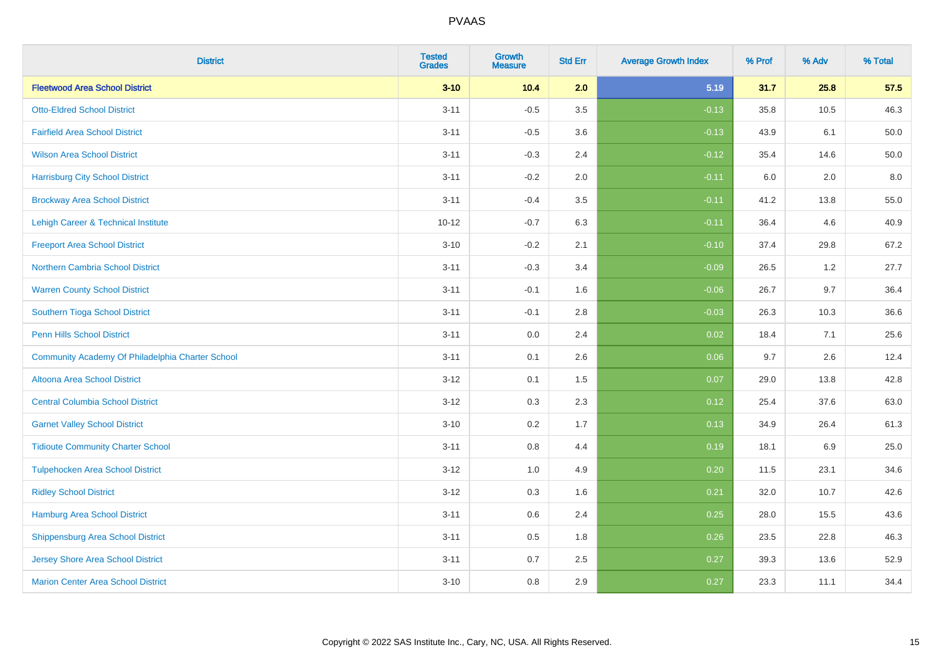| <b>District</b>                                  | <b>Tested</b><br><b>Grades</b> | Growth<br><b>Measure</b> | <b>Std Err</b> | <b>Average Growth Index</b> | % Prof | % Adv | % Total  |
|--------------------------------------------------|--------------------------------|--------------------------|----------------|-----------------------------|--------|-------|----------|
| <b>Fleetwood Area School District</b>            | $3 - 10$                       | 10.4                     | 2.0            | 5.19                        | 31.7   | 25.8  | 57.5     |
| <b>Otto-Eldred School District</b>               | $3 - 11$                       | $-0.5$                   | 3.5            | $-0.13$                     | 35.8   | 10.5  | 46.3     |
| <b>Fairfield Area School District</b>            | $3 - 11$                       | $-0.5$                   | 3.6            | $-0.13$                     | 43.9   | 6.1   | 50.0     |
| <b>Wilson Area School District</b>               | $3 - 11$                       | $-0.3$                   | 2.4            | $-0.12$                     | 35.4   | 14.6  | $50.0\,$ |
| <b>Harrisburg City School District</b>           | $3 - 11$                       | $-0.2$                   | 2.0            | $-0.11$                     | 6.0    | 2.0   | 8.0      |
| <b>Brockway Area School District</b>             | $3 - 11$                       | $-0.4$                   | 3.5            | $-0.11$                     | 41.2   | 13.8  | 55.0     |
| Lehigh Career & Technical Institute              | $10 - 12$                      | $-0.7$                   | 6.3            | $-0.11$                     | 36.4   | 4.6   | 40.9     |
| <b>Freeport Area School District</b>             | $3 - 10$                       | $-0.2$                   | 2.1            | $-0.10$                     | 37.4   | 29.8  | 67.2     |
| <b>Northern Cambria School District</b>          | $3 - 11$                       | $-0.3$                   | 3.4            | $-0.09$                     | 26.5   | 1.2   | 27.7     |
| <b>Warren County School District</b>             | $3 - 11$                       | $-0.1$                   | 1.6            | $-0.06$                     | 26.7   | 9.7   | 36.4     |
| Southern Tioga School District                   | $3 - 11$                       | $-0.1$                   | 2.8            | $-0.03$                     | 26.3   | 10.3  | 36.6     |
| <b>Penn Hills School District</b>                | $3 - 11$                       | 0.0                      | 2.4            | 0.02                        | 18.4   | 7.1   | 25.6     |
| Community Academy Of Philadelphia Charter School | $3 - 11$                       | 0.1                      | 2.6            | 0.06                        | 9.7    | 2.6   | 12.4     |
| Altoona Area School District                     | $3 - 12$                       | 0.1                      | 1.5            | 0.07                        | 29.0   | 13.8  | 42.8     |
| <b>Central Columbia School District</b>          | $3 - 12$                       | 0.3                      | 2.3            | 0.12                        | 25.4   | 37.6  | 63.0     |
| <b>Garnet Valley School District</b>             | $3 - 10$                       | 0.2                      | 1.7            | 0.13                        | 34.9   | 26.4  | 61.3     |
| <b>Tidioute Community Charter School</b>         | $3 - 11$                       | 0.8                      | 4.4            | 0.19                        | 18.1   | 6.9   | 25.0     |
| <b>Tulpehocken Area School District</b>          | $3 - 12$                       | 1.0                      | 4.9            | 0.20                        | 11.5   | 23.1  | 34.6     |
| <b>Ridley School District</b>                    | $3 - 12$                       | 0.3                      | 1.6            | 0.21                        | 32.0   | 10.7  | 42.6     |
| Hamburg Area School District                     | $3 - 11$                       | 0.6                      | 2.4            | 0.25                        | 28.0   | 15.5  | 43.6     |
| <b>Shippensburg Area School District</b>         | $3 - 11$                       | 0.5                      | 1.8            | 0.26                        | 23.5   | 22.8  | 46.3     |
| Jersey Shore Area School District                | $3 - 11$                       | 0.7                      | 2.5            | 0.27                        | 39.3   | 13.6  | 52.9     |
| <b>Marion Center Area School District</b>        | $3 - 10$                       | 0.8                      | 2.9            | 0.27                        | 23.3   | 11.1  | 34.4     |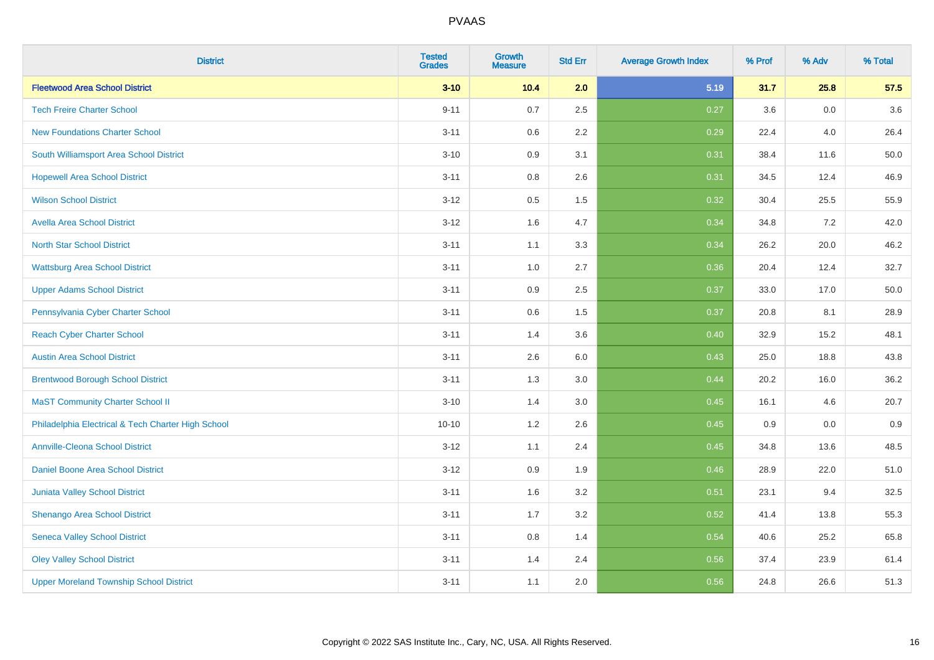| <b>District</b>                                    | <b>Tested</b><br><b>Grades</b> | <b>Growth</b><br><b>Measure</b> | <b>Std Err</b> | <b>Average Growth Index</b> | % Prof | % Adv   | % Total |
|----------------------------------------------------|--------------------------------|---------------------------------|----------------|-----------------------------|--------|---------|---------|
| <b>Fleetwood Area School District</b>              | $3 - 10$                       | 10.4                            | 2.0            | 5.19                        | 31.7   | 25.8    | 57.5    |
| <b>Tech Freire Charter School</b>                  | $9 - 11$                       | 0.7                             | 2.5            | 0.27                        | 3.6    | 0.0     | 3.6     |
| <b>New Foundations Charter School</b>              | $3 - 11$                       | 0.6                             | 2.2            | 0.29                        | 22.4   | 4.0     | 26.4    |
| South Williamsport Area School District            | $3 - 10$                       | 0.9                             | 3.1            | 0.31                        | 38.4   | 11.6    | 50.0    |
| <b>Hopewell Area School District</b>               | $3 - 11$                       | 0.8                             | 2.6            | 0.31                        | 34.5   | 12.4    | 46.9    |
| <b>Wilson School District</b>                      | $3 - 12$                       | 0.5                             | 1.5            | 0.32                        | 30.4   | 25.5    | 55.9    |
| <b>Avella Area School District</b>                 | $3 - 12$                       | 1.6                             | 4.7            | 0.34                        | 34.8   | 7.2     | 42.0    |
| <b>North Star School District</b>                  | $3 - 11$                       | 1.1                             | 3.3            | 0.34                        | 26.2   | 20.0    | 46.2    |
| <b>Wattsburg Area School District</b>              | $3 - 11$                       | 1.0                             | 2.7            | 0.36                        | 20.4   | 12.4    | 32.7    |
| <b>Upper Adams School District</b>                 | $3 - 11$                       | 0.9                             | 2.5            | 0.37                        | 33.0   | 17.0    | 50.0    |
| Pennsylvania Cyber Charter School                  | $3 - 11$                       | 0.6                             | 1.5            | 0.37                        | 20.8   | 8.1     | 28.9    |
| <b>Reach Cyber Charter School</b>                  | $3 - 11$                       | 1.4                             | 3.6            | 0.40                        | 32.9   | 15.2    | 48.1    |
| <b>Austin Area School District</b>                 | $3 - 11$                       | 2.6                             | 6.0            | 0.43                        | 25.0   | 18.8    | 43.8    |
| <b>Brentwood Borough School District</b>           | $3 - 11$                       | 1.3                             | 3.0            | 0.44                        | 20.2   | 16.0    | 36.2    |
| <b>MaST Community Charter School II</b>            | $3 - 10$                       | 1.4                             | 3.0            | 0.45                        | 16.1   | 4.6     | 20.7    |
| Philadelphia Electrical & Tech Charter High School | $10 - 10$                      | 1.2                             | 2.6            | 0.45                        | 0.9    | $0.0\,$ | 0.9     |
| <b>Annville-Cleona School District</b>             | $3 - 12$                       | 1.1                             | 2.4            | 0.45                        | 34.8   | 13.6    | 48.5    |
| Daniel Boone Area School District                  | $3 - 12$                       | 0.9                             | 1.9            | 0.46                        | 28.9   | 22.0    | 51.0    |
| Juniata Valley School District                     | $3 - 11$                       | 1.6                             | 3.2            | 0.51                        | 23.1   | 9.4     | 32.5    |
| Shenango Area School District                      | $3 - 11$                       | 1.7                             | 3.2            | 0.52                        | 41.4   | 13.8    | 55.3    |
| <b>Seneca Valley School District</b>               | $3 - 11$                       | $0.8\,$                         | 1.4            | 0.54                        | 40.6   | 25.2    | 65.8    |
| <b>Oley Valley School District</b>                 | $3 - 11$                       | 1.4                             | 2.4            | 0.56                        | 37.4   | 23.9    | 61.4    |
| <b>Upper Moreland Township School District</b>     | $3 - 11$                       | 1.1                             | 2.0            | 0.56                        | 24.8   | 26.6    | 51.3    |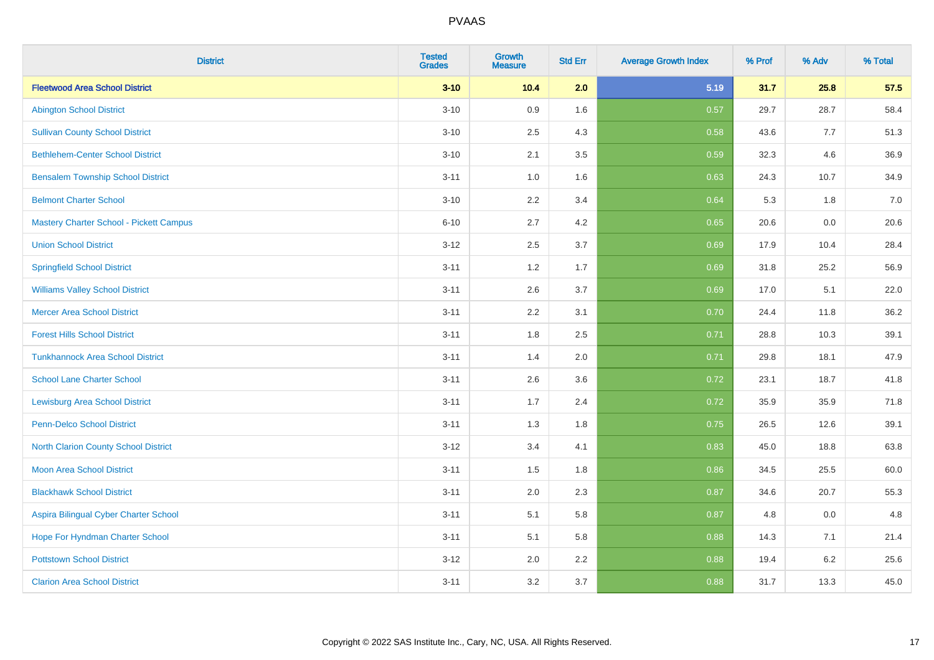| <b>District</b>                                | <b>Tested</b><br><b>Grades</b> | Growth<br><b>Measure</b> | <b>Std Err</b> | <b>Average Growth Index</b> | % Prof | % Adv   | % Total |
|------------------------------------------------|--------------------------------|--------------------------|----------------|-----------------------------|--------|---------|---------|
| <b>Fleetwood Area School District</b>          | $3 - 10$                       | 10.4                     | 2.0            | 5.19                        | 31.7   | 25.8    | 57.5    |
| <b>Abington School District</b>                | $3 - 10$                       | 0.9                      | 1.6            | 0.57                        | 29.7   | 28.7    | 58.4    |
| <b>Sullivan County School District</b>         | $3 - 10$                       | 2.5                      | 4.3            | 0.58                        | 43.6   | 7.7     | 51.3    |
| <b>Bethlehem-Center School District</b>        | $3 - 10$                       | 2.1                      | 3.5            | 0.59                        | 32.3   | 4.6     | 36.9    |
| <b>Bensalem Township School District</b>       | $3 - 11$                       | 1.0                      | 1.6            | 0.63                        | 24.3   | 10.7    | 34.9    |
| <b>Belmont Charter School</b>                  | $3 - 10$                       | 2.2                      | 3.4            | 0.64                        | 5.3    | 1.8     | 7.0     |
| <b>Mastery Charter School - Pickett Campus</b> | $6 - 10$                       | 2.7                      | 4.2            | 0.65                        | 20.6   | 0.0     | 20.6    |
| <b>Union School District</b>                   | $3 - 12$                       | 2.5                      | 3.7            | 0.69                        | 17.9   | 10.4    | 28.4    |
| <b>Springfield School District</b>             | $3 - 11$                       | 1.2                      | 1.7            | 0.69                        | 31.8   | 25.2    | 56.9    |
| <b>Williams Valley School District</b>         | $3 - 11$                       | 2.6                      | 3.7            | 0.69                        | 17.0   | 5.1     | 22.0    |
| <b>Mercer Area School District</b>             | $3 - 11$                       | 2.2                      | 3.1            | 0.70                        | 24.4   | 11.8    | 36.2    |
| <b>Forest Hills School District</b>            | $3 - 11$                       | 1.8                      | 2.5            | 0.71                        | 28.8   | 10.3    | 39.1    |
| <b>Tunkhannock Area School District</b>        | $3 - 11$                       | 1.4                      | 2.0            | 0.71                        | 29.8   | 18.1    | 47.9    |
| <b>School Lane Charter School</b>              | $3 - 11$                       | 2.6                      | 3.6            | 0.72                        | 23.1   | 18.7    | 41.8    |
| <b>Lewisburg Area School District</b>          | $3 - 11$                       | 1.7                      | 2.4            | 0.72                        | 35.9   | 35.9    | 71.8    |
| <b>Penn-Delco School District</b>              | $3 - 11$                       | 1.3                      | 1.8            | 0.75                        | 26.5   | 12.6    | 39.1    |
| <b>North Clarion County School District</b>    | $3 - 12$                       | 3.4                      | 4.1            | 0.83                        | 45.0   | 18.8    | 63.8    |
| <b>Moon Area School District</b>               | $3 - 11$                       | 1.5                      | 1.8            | 0.86                        | 34.5   | 25.5    | 60.0    |
| <b>Blackhawk School District</b>               | $3 - 11$                       | 2.0                      | 2.3            | 0.87                        | 34.6   | 20.7    | 55.3    |
| Aspira Bilingual Cyber Charter School          | $3 - 11$                       | 5.1                      | 5.8            | 0.87                        | 4.8    | 0.0     | 4.8     |
| Hope For Hyndman Charter School                | $3 - 11$                       | 5.1                      | 5.8            | 0.88                        | 14.3   | 7.1     | 21.4    |
| <b>Pottstown School District</b>               | $3-12$                         | 2.0                      | 2.2            | 0.88                        | 19.4   | $6.2\,$ | 25.6    |
| <b>Clarion Area School District</b>            | $3 - 11$                       | 3.2                      | 3.7            | 0.88                        | 31.7   | 13.3    | 45.0    |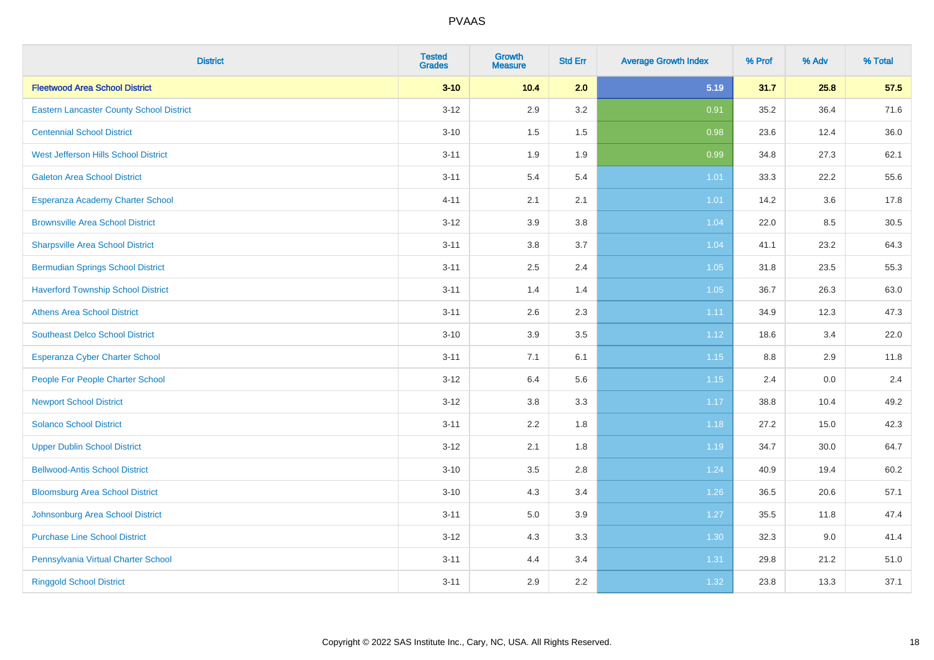| <b>District</b>                                 | <b>Tested</b><br><b>Grades</b> | <b>Growth</b><br><b>Measure</b> | <b>Std Err</b> | <b>Average Growth Index</b> | % Prof  | % Adv | % Total |
|-------------------------------------------------|--------------------------------|---------------------------------|----------------|-----------------------------|---------|-------|---------|
| <b>Fleetwood Area School District</b>           | $3 - 10$                       | 10.4                            | 2.0            | 5.19                        | 31.7    | 25.8  | 57.5    |
| <b>Eastern Lancaster County School District</b> | $3 - 12$                       | 2.9                             | 3.2            | 0.91                        | 35.2    | 36.4  | 71.6    |
| <b>Centennial School District</b>               | $3 - 10$                       | 1.5                             | 1.5            | 0.98                        | 23.6    | 12.4  | 36.0    |
| West Jefferson Hills School District            | $3 - 11$                       | 1.9                             | 1.9            | 0.99                        | 34.8    | 27.3  | 62.1    |
| <b>Galeton Area School District</b>             | $3 - 11$                       | 5.4                             | 5.4            | 1.01                        | 33.3    | 22.2  | 55.6    |
| Esperanza Academy Charter School                | $4 - 11$                       | 2.1                             | 2.1            | 1.01                        | 14.2    | 3.6   | 17.8    |
| <b>Brownsville Area School District</b>         | $3 - 12$                       | 3.9                             | 3.8            | 1.04                        | 22.0    | 8.5   | 30.5    |
| <b>Sharpsville Area School District</b>         | $3 - 11$                       | 3.8                             | 3.7            | 1.04                        | 41.1    | 23.2  | 64.3    |
| <b>Bermudian Springs School District</b>        | $3 - 11$                       | 2.5                             | 2.4            | 1.05                        | 31.8    | 23.5  | 55.3    |
| <b>Haverford Township School District</b>       | $3 - 11$                       | 1.4                             | 1.4            | 1.05                        | 36.7    | 26.3  | 63.0    |
| <b>Athens Area School District</b>              | $3 - 11$                       | 2.6                             | 2.3            | 1.11                        | 34.9    | 12.3  | 47.3    |
| <b>Southeast Delco School District</b>          | $3 - 10$                       | 3.9                             | 3.5            | 1.12                        | 18.6    | 3.4   | 22.0    |
| <b>Esperanza Cyber Charter School</b>           | $3 - 11$                       | 7.1                             | 6.1            | 1.15                        | $8.8\,$ | 2.9   | 11.8    |
| People For People Charter School                | $3 - 12$                       | 6.4                             | 5.6            | 1.15                        | 2.4     | 0.0   | 2.4     |
| <b>Newport School District</b>                  | $3 - 12$                       | $3.8\,$                         | 3.3            | 1.17                        | 38.8    | 10.4  | 49.2    |
| <b>Solanco School District</b>                  | $3 - 11$                       | 2.2                             | 1.8            | 1.18                        | 27.2    | 15.0  | 42.3    |
| <b>Upper Dublin School District</b>             | $3 - 12$                       | 2.1                             | 1.8            | 1.19                        | 34.7    | 30.0  | 64.7    |
| <b>Bellwood-Antis School District</b>           | $3 - 10$                       | 3.5                             | 2.8            | 1.24                        | 40.9    | 19.4  | 60.2    |
| <b>Bloomsburg Area School District</b>          | $3 - 10$                       | 4.3                             | 3.4            | 1.26                        | 36.5    | 20.6  | 57.1    |
| Johnsonburg Area School District                | $3 - 11$                       | 5.0                             | 3.9            | 1.27                        | 35.5    | 11.8  | 47.4    |
| <b>Purchase Line School District</b>            | $3 - 12$                       | 4.3                             | 3.3            | 1.30                        | 32.3    | 9.0   | 41.4    |
| Pennsylvania Virtual Charter School             | $3 - 11$                       | 4.4                             | 3.4            | 1.31                        | 29.8    | 21.2  | 51.0    |
| <b>Ringgold School District</b>                 | $3 - 11$                       | 2.9                             | 2.2            | 1.32                        | 23.8    | 13.3  | 37.1    |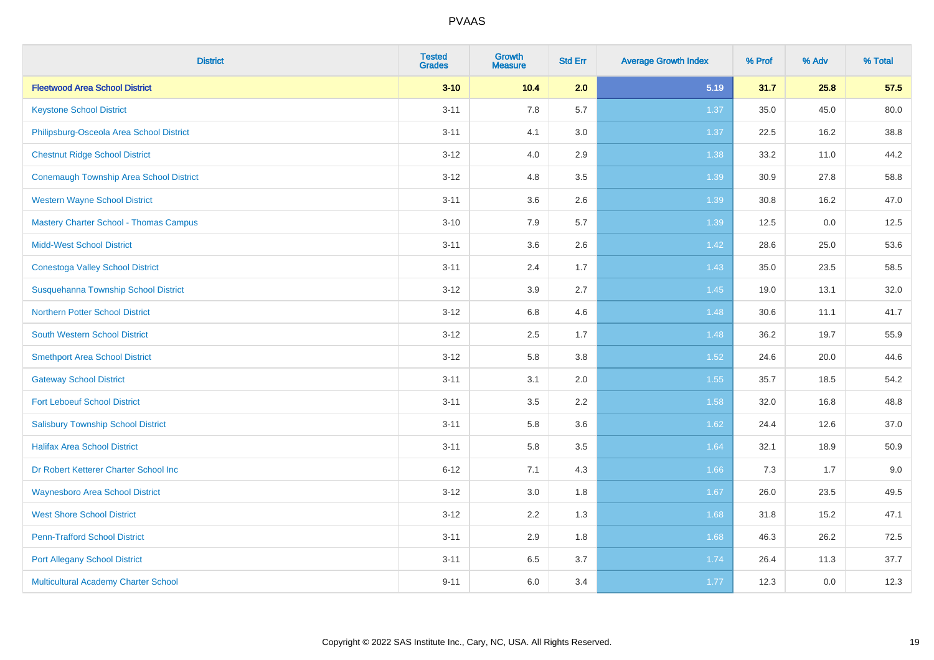| <b>District</b>                                | <b>Tested</b><br><b>Grades</b> | <b>Growth</b><br><b>Measure</b> | <b>Std Err</b> | <b>Average Growth Index</b> | % Prof | % Adv | % Total |
|------------------------------------------------|--------------------------------|---------------------------------|----------------|-----------------------------|--------|-------|---------|
| <b>Fleetwood Area School District</b>          | $3 - 10$                       | 10.4                            | 2.0            | 5.19                        | 31.7   | 25.8  | 57.5    |
| <b>Keystone School District</b>                | $3 - 11$                       | 7.8                             | 5.7            | 1.37                        | 35.0   | 45.0  | 80.0    |
| Philipsburg-Osceola Area School District       | $3 - 11$                       | 4.1                             | 3.0            | 1.37                        | 22.5   | 16.2  | 38.8    |
| <b>Chestnut Ridge School District</b>          | $3 - 12$                       | 4.0                             | 2.9            | 1.38                        | 33.2   | 11.0  | 44.2    |
| <b>Conemaugh Township Area School District</b> | $3 - 12$                       | 4.8                             | 3.5            | 1.39                        | 30.9   | 27.8  | 58.8    |
| <b>Western Wayne School District</b>           | $3 - 11$                       | 3.6                             | 2.6            | 1.39                        | 30.8   | 16.2  | 47.0    |
| <b>Mastery Charter School - Thomas Campus</b>  | $3 - 10$                       | 7.9                             | 5.7            | 1.39                        | 12.5   | 0.0   | 12.5    |
| <b>Midd-West School District</b>               | $3 - 11$                       | 3.6                             | 2.6            | 1.42                        | 28.6   | 25.0  | 53.6    |
| <b>Conestoga Valley School District</b>        | $3 - 11$                       | 2.4                             | 1.7            | 1.43                        | 35.0   | 23.5  | 58.5    |
| Susquehanna Township School District           | $3 - 12$                       | 3.9                             | 2.7            | 1.45                        | 19.0   | 13.1  | 32.0    |
| <b>Northern Potter School District</b>         | $3 - 12$                       | $6.8\,$                         | 4.6            | 1.48                        | 30.6   | 11.1  | 41.7    |
| South Western School District                  | $3 - 12$                       | 2.5                             | 1.7            | 1.48                        | 36.2   | 19.7  | 55.9    |
| <b>Smethport Area School District</b>          | $3 - 12$                       | 5.8                             | 3.8            | 1.52                        | 24.6   | 20.0  | 44.6    |
| <b>Gateway School District</b>                 | $3 - 11$                       | 3.1                             | 2.0            | 1.55                        | 35.7   | 18.5  | 54.2    |
| <b>Fort Leboeuf School District</b>            | $3 - 11$                       | 3.5                             | 2.2            | 1.58                        | 32.0   | 16.8  | 48.8    |
| <b>Salisbury Township School District</b>      | $3 - 11$                       | 5.8                             | 3.6            | 1.62                        | 24.4   | 12.6  | 37.0    |
| <b>Halifax Area School District</b>            | $3 - 11$                       | 5.8                             | 3.5            | 1.64                        | 32.1   | 18.9  | 50.9    |
| Dr Robert Ketterer Charter School Inc          | $6 - 12$                       | 7.1                             | 4.3            | 1.66                        | 7.3    | 1.7   | 9.0     |
| <b>Waynesboro Area School District</b>         | $3 - 12$                       | 3.0                             | 1.8            | 1.67                        | 26.0   | 23.5  | 49.5    |
| <b>West Shore School District</b>              | $3-12$                         | 2.2                             | 1.3            | 1.68                        | 31.8   | 15.2  | 47.1    |
| <b>Penn-Trafford School District</b>           | $3 - 11$                       | 2.9                             | 1.8            | 1.68                        | 46.3   | 26.2  | 72.5    |
| <b>Port Allegany School District</b>           | $3 - 11$                       | 6.5                             | 3.7            | 1.74                        | 26.4   | 11.3  | 37.7    |
| Multicultural Academy Charter School           | $9 - 11$                       | 6.0                             | 3.4            | 1.77                        | 12.3   | 0.0   | 12.3    |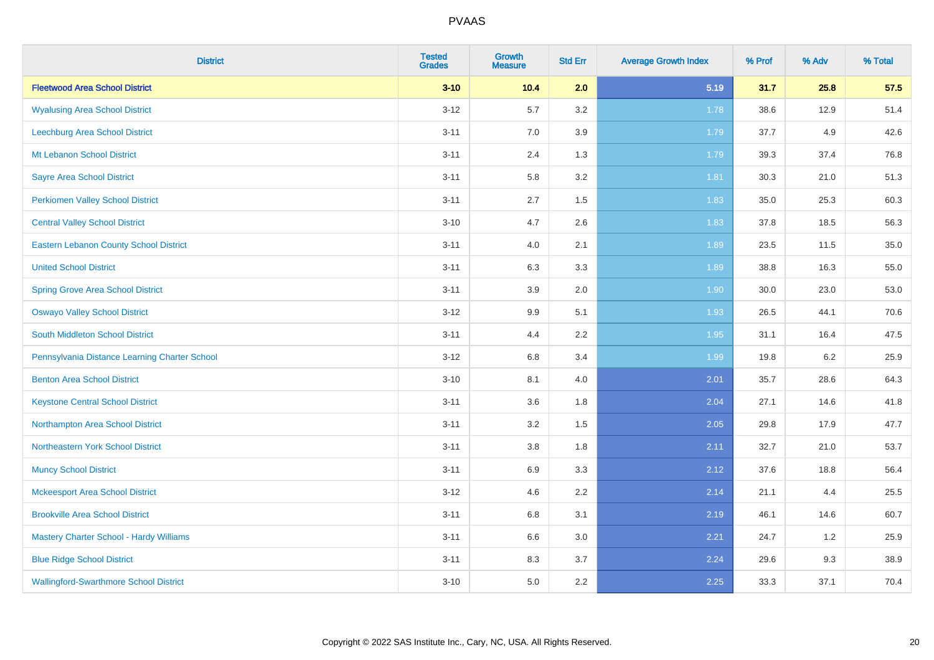| <b>District</b>                                | <b>Tested</b><br><b>Grades</b> | <b>Growth</b><br><b>Measure</b> | <b>Std Err</b> | <b>Average Growth Index</b> | % Prof | % Adv | % Total |
|------------------------------------------------|--------------------------------|---------------------------------|----------------|-----------------------------|--------|-------|---------|
| <b>Fleetwood Area School District</b>          | $3 - 10$                       | 10.4                            | 2.0            | 5.19                        | 31.7   | 25.8  | 57.5    |
| <b>Wyalusing Area School District</b>          | $3 - 12$                       | 5.7                             | 3.2            | 1.78                        | 38.6   | 12.9  | 51.4    |
| Leechburg Area School District                 | $3 - 11$                       | 7.0                             | 3.9            | 1.79                        | 37.7   | 4.9   | 42.6    |
| Mt Lebanon School District                     | $3 - 11$                       | 2.4                             | 1.3            | 1.79                        | 39.3   | 37.4  | 76.8    |
| <b>Sayre Area School District</b>              | $3 - 11$                       | 5.8                             | 3.2            | 1.81                        | 30.3   | 21.0  | 51.3    |
| <b>Perkiomen Valley School District</b>        | $3 - 11$                       | 2.7                             | 1.5            | 1.83                        | 35.0   | 25.3  | 60.3    |
| <b>Central Valley School District</b>          | $3 - 10$                       | 4.7                             | 2.6            | 1.83                        | 37.8   | 18.5  | 56.3    |
| <b>Eastern Lebanon County School District</b>  | $3 - 11$                       | 4.0                             | 2.1            | 1.89                        | 23.5   | 11.5  | 35.0    |
| <b>United School District</b>                  | $3 - 11$                       | 6.3                             | 3.3            | 1.89                        | 38.8   | 16.3  | 55.0    |
| <b>Spring Grove Area School District</b>       | $3 - 11$                       | 3.9                             | 2.0            | 1.90                        | 30.0   | 23.0  | 53.0    |
| <b>Oswayo Valley School District</b>           | $3 - 12$                       | 9.9                             | 5.1            | 1.93                        | 26.5   | 44.1  | 70.6    |
| South Middleton School District                | $3 - 11$                       | 4.4                             | 2.2            | 1.95                        | 31.1   | 16.4  | 47.5    |
| Pennsylvania Distance Learning Charter School  | $3 - 12$                       | $6.8\,$                         | 3.4            | 1.99                        | 19.8   | 6.2   | 25.9    |
| <b>Benton Area School District</b>             | $3 - 10$                       | 8.1                             | 4.0            | 2.01                        | 35.7   | 28.6  | 64.3    |
| <b>Keystone Central School District</b>        | $3 - 11$                       | 3.6                             | 1.8            | 2.04                        | 27.1   | 14.6  | 41.8    |
| Northampton Area School District               | $3 - 11$                       | 3.2                             | 1.5            | 2.05                        | 29.8   | 17.9  | 47.7    |
| Northeastern York School District              | $3 - 11$                       | $3.8\,$                         | 1.8            | 2.11                        | 32.7   | 21.0  | 53.7    |
| <b>Muncy School District</b>                   | $3 - 11$                       | 6.9                             | 3.3            | 2.12                        | 37.6   | 18.8  | 56.4    |
| <b>Mckeesport Area School District</b>         | $3 - 12$                       | 4.6                             | 2.2            | 2.14                        | 21.1   | 4.4   | 25.5    |
| <b>Brookville Area School District</b>         | $3 - 11$                       | $6.8\,$                         | 3.1            | 2.19                        | 46.1   | 14.6  | 60.7    |
| <b>Mastery Charter School - Hardy Williams</b> | $3 - 11$                       | 6.6                             | 3.0            | 2.21                        | 24.7   | 1.2   | 25.9    |
| <b>Blue Ridge School District</b>              | $3 - 11$                       | 8.3                             | 3.7            | 2.24                        | 29.6   | 9.3   | 38.9    |
| <b>Wallingford-Swarthmore School District</b>  | $3 - 10$                       | 5.0                             | 2.2            | 2.25                        | 33.3   | 37.1  | 70.4    |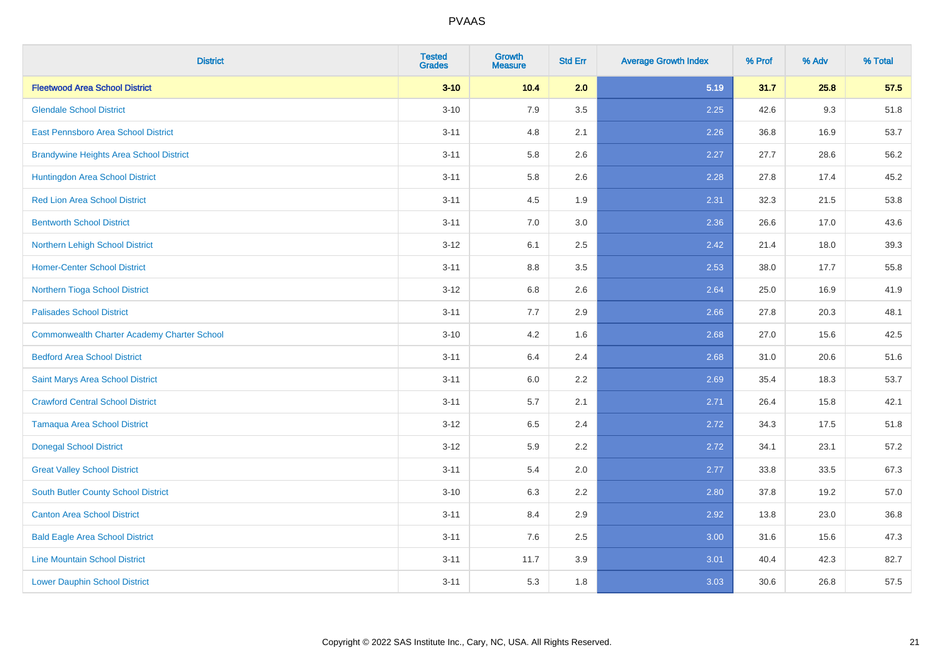| <b>District</b>                                    | <b>Tested</b><br><b>Grades</b> | <b>Growth</b><br><b>Measure</b> | <b>Std Err</b> | <b>Average Growth Index</b> | % Prof | % Adv | % Total |
|----------------------------------------------------|--------------------------------|---------------------------------|----------------|-----------------------------|--------|-------|---------|
| <b>Fleetwood Area School District</b>              | $3 - 10$                       | 10.4                            | 2.0            | 5.19                        | 31.7   | 25.8  | 57.5    |
| <b>Glendale School District</b>                    | $3 - 10$                       | 7.9                             | 3.5            | 2.25                        | 42.6   | 9.3   | 51.8    |
| <b>East Pennsboro Area School District</b>         | $3 - 11$                       | 4.8                             | 2.1            | 2.26                        | 36.8   | 16.9  | 53.7    |
| <b>Brandywine Heights Area School District</b>     | $3 - 11$                       | 5.8                             | 2.6            | 2.27                        | 27.7   | 28.6  | 56.2    |
| Huntingdon Area School District                    | $3 - 11$                       | 5.8                             | 2.6            | 2.28                        | 27.8   | 17.4  | 45.2    |
| <b>Red Lion Area School District</b>               | $3 - 11$                       | 4.5                             | 1.9            | 2.31                        | 32.3   | 21.5  | 53.8    |
| <b>Bentworth School District</b>                   | $3 - 11$                       | 7.0                             | 3.0            | 2.36                        | 26.6   | 17.0  | 43.6    |
| Northern Lehigh School District                    | $3 - 12$                       | 6.1                             | 2.5            | 2.42                        | 21.4   | 18.0  | 39.3    |
| <b>Homer-Center School District</b>                | $3 - 11$                       | $8.8\,$                         | 3.5            | 2.53                        | 38.0   | 17.7  | 55.8    |
| Northern Tioga School District                     | $3 - 12$                       | 6.8                             | 2.6            | 2.64                        | 25.0   | 16.9  | 41.9    |
| <b>Palisades School District</b>                   | $3 - 11$                       | 7.7                             | 2.9            | 2.66                        | 27.8   | 20.3  | 48.1    |
| <b>Commonwealth Charter Academy Charter School</b> | $3 - 10$                       | 4.2                             | 1.6            | 2.68                        | 27.0   | 15.6  | 42.5    |
| <b>Bedford Area School District</b>                | $3 - 11$                       | 6.4                             | 2.4            | 2.68                        | 31.0   | 20.6  | 51.6    |
| Saint Marys Area School District                   | $3 - 11$                       | 6.0                             | 2.2            | 2.69                        | 35.4   | 18.3  | 53.7    |
| <b>Crawford Central School District</b>            | $3 - 11$                       | 5.7                             | 2.1            | 2.71                        | 26.4   | 15.8  | 42.1    |
| <b>Tamaqua Area School District</b>                | $3 - 12$                       | 6.5                             | 2.4            | 2.72                        | 34.3   | 17.5  | 51.8    |
| <b>Donegal School District</b>                     | $3 - 12$                       | 5.9                             | 2.2            | 2.72                        | 34.1   | 23.1  | 57.2    |
| <b>Great Valley School District</b>                | $3 - 11$                       | 5.4                             | 2.0            | 2.77                        | 33.8   | 33.5  | 67.3    |
| South Butler County School District                | $3 - 10$                       | 6.3                             | 2.2            | 2.80                        | 37.8   | 19.2  | 57.0    |
| <b>Canton Area School District</b>                 | $3 - 11$                       | 8.4                             | 2.9            | 2.92                        | 13.8   | 23.0  | 36.8    |
| <b>Bald Eagle Area School District</b>             | $3 - 11$                       | 7.6                             | 2.5            | 3.00                        | 31.6   | 15.6  | 47.3    |
| <b>Line Mountain School District</b>               | $3 - 11$                       | 11.7                            | 3.9            | 3.01                        | 40.4   | 42.3  | 82.7    |
| <b>Lower Dauphin School District</b>               | $3 - 11$                       | 5.3                             | 1.8            | 3.03                        | 30.6   | 26.8  | 57.5    |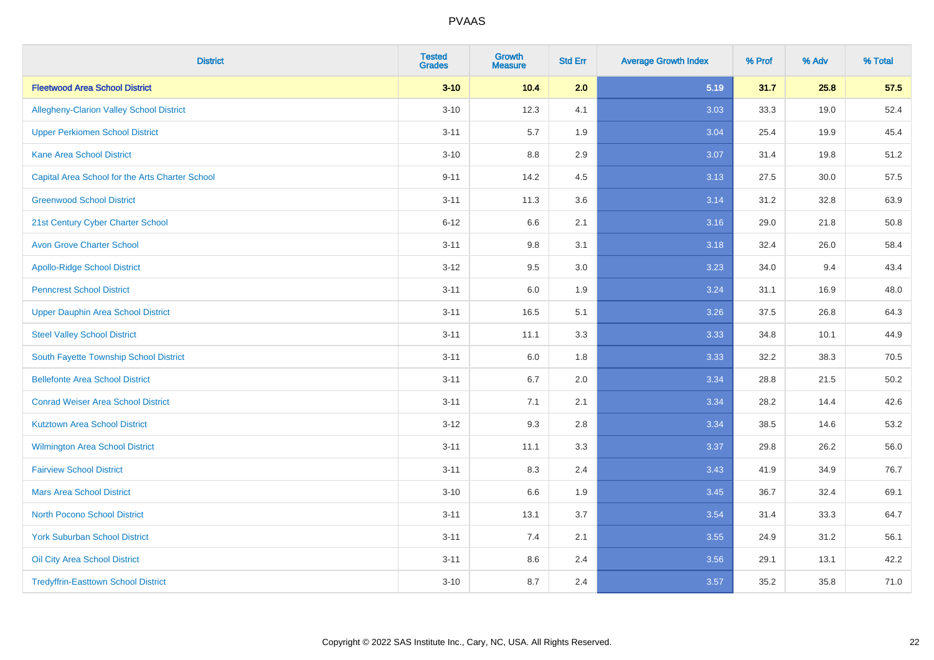| <b>District</b>                                 | <b>Tested</b><br><b>Grades</b> | <b>Growth</b><br><b>Measure</b> | <b>Std Err</b> | <b>Average Growth Index</b> | % Prof | % Adv | % Total |
|-------------------------------------------------|--------------------------------|---------------------------------|----------------|-----------------------------|--------|-------|---------|
| <b>Fleetwood Area School District</b>           | $3 - 10$                       | 10.4                            | 2.0            | 5.19                        | 31.7   | 25.8  | 57.5    |
| <b>Allegheny-Clarion Valley School District</b> | $3 - 10$                       | 12.3                            | 4.1            | 3.03                        | 33.3   | 19.0  | 52.4    |
| <b>Upper Perkiomen School District</b>          | $3 - 11$                       | 5.7                             | 1.9            | 3.04                        | 25.4   | 19.9  | 45.4    |
| <b>Kane Area School District</b>                | $3 - 10$                       | 8.8                             | 2.9            | 3.07                        | 31.4   | 19.8  | 51.2    |
| Capital Area School for the Arts Charter School | $9 - 11$                       | 14.2                            | 4.5            | 3.13                        | 27.5   | 30.0  | 57.5    |
| <b>Greenwood School District</b>                | $3 - 11$                       | 11.3                            | 3.6            | 3.14                        | 31.2   | 32.8  | 63.9    |
| 21st Century Cyber Charter School               | $6 - 12$                       | 6.6                             | 2.1            | 3.16                        | 29.0   | 21.8  | 50.8    |
| <b>Avon Grove Charter School</b>                | $3 - 11$                       | 9.8                             | 3.1            | 3.18                        | 32.4   | 26.0  | 58.4    |
| <b>Apollo-Ridge School District</b>             | $3 - 12$                       | 9.5                             | 3.0            | 3.23                        | 34.0   | 9.4   | 43.4    |
| <b>Penncrest School District</b>                | $3 - 11$                       | 6.0                             | 1.9            | 3.24                        | 31.1   | 16.9  | 48.0    |
| <b>Upper Dauphin Area School District</b>       | $3 - 11$                       | 16.5                            | 5.1            | 3.26                        | 37.5   | 26.8  | 64.3    |
| <b>Steel Valley School District</b>             | $3 - 11$                       | 11.1                            | 3.3            | 3.33                        | 34.8   | 10.1  | 44.9    |
| South Fayette Township School District          | $3 - 11$                       | 6.0                             | 1.8            | 3.33                        | 32.2   | 38.3  | 70.5    |
| <b>Bellefonte Area School District</b>          | $3 - 11$                       | 6.7                             | 2.0            | 3.34                        | 28.8   | 21.5  | 50.2    |
| <b>Conrad Weiser Area School District</b>       | $3 - 11$                       | 7.1                             | 2.1            | 3.34                        | 28.2   | 14.4  | 42.6    |
| <b>Kutztown Area School District</b>            | $3 - 12$                       | 9.3                             | 2.8            | 3.34                        | 38.5   | 14.6  | 53.2    |
| Wilmington Area School District                 | $3 - 11$                       | 11.1                            | 3.3            | 3.37                        | 29.8   | 26.2  | 56.0    |
| <b>Fairview School District</b>                 | $3 - 11$                       | 8.3                             | 2.4            | 3.43                        | 41.9   | 34.9  | 76.7    |
| <b>Mars Area School District</b>                | $3 - 10$                       | 6.6                             | 1.9            | 3.45                        | 36.7   | 32.4  | 69.1    |
| <b>North Pocono School District</b>             | $3 - 11$                       | 13.1                            | 3.7            | 3.54                        | 31.4   | 33.3  | 64.7    |
| <b>York Suburban School District</b>            | $3 - 11$                       | 7.4                             | 2.1            | 3.55                        | 24.9   | 31.2  | 56.1    |
| Oil City Area School District                   | $3 - 11$                       | 8.6                             | 2.4            | 3.56                        | 29.1   | 13.1  | 42.2    |
| <b>Tredyffrin-Easttown School District</b>      | $3 - 10$                       | 8.7                             | 2.4            | 3.57                        | 35.2   | 35.8  | 71.0    |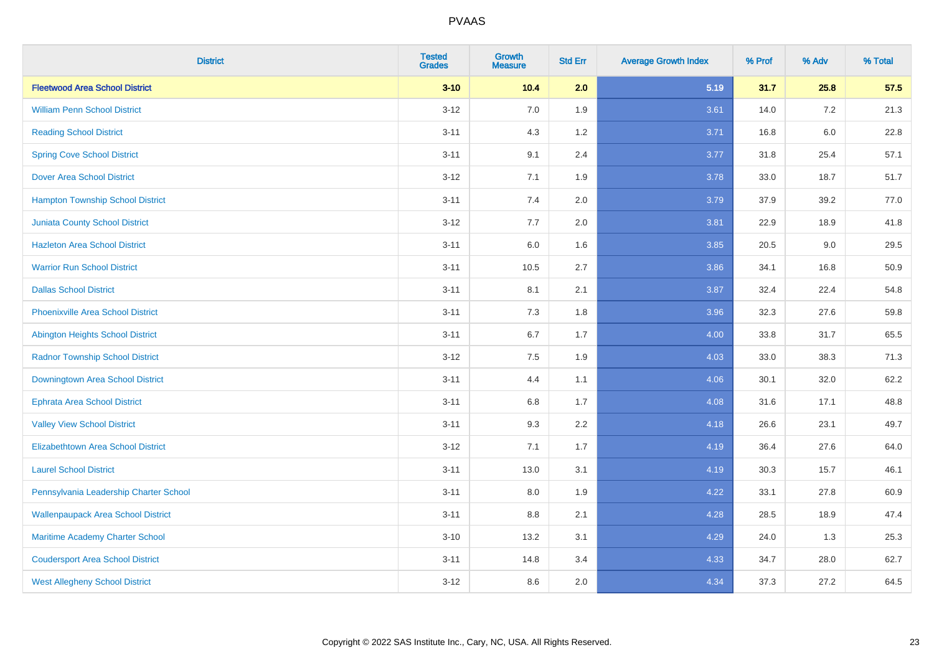| <b>District</b>                           | <b>Tested</b><br><b>Grades</b> | <b>Growth</b><br><b>Measure</b> | <b>Std Err</b> | <b>Average Growth Index</b> | % Prof | % Adv   | % Total |
|-------------------------------------------|--------------------------------|---------------------------------|----------------|-----------------------------|--------|---------|---------|
| <b>Fleetwood Area School District</b>     | $3 - 10$                       | 10.4                            | 2.0            | 5.19                        | 31.7   | 25.8    | 57.5    |
| <b>William Penn School District</b>       | $3 - 12$                       | 7.0                             | 1.9            | 3.61                        | 14.0   | 7.2     | 21.3    |
| <b>Reading School District</b>            | $3 - 11$                       | 4.3                             | 1.2            | 3.71                        | 16.8   | $6.0\,$ | 22.8    |
| <b>Spring Cove School District</b>        | $3 - 11$                       | 9.1                             | 2.4            | 3.77                        | 31.8   | 25.4    | 57.1    |
| <b>Dover Area School District</b>         | $3 - 12$                       | 7.1                             | 1.9            | 3.78                        | 33.0   | 18.7    | 51.7    |
| <b>Hampton Township School District</b>   | $3 - 11$                       | 7.4                             | 2.0            | 3.79                        | 37.9   | 39.2    | 77.0    |
| <b>Juniata County School District</b>     | $3 - 12$                       | 7.7                             | 2.0            | 3.81                        | 22.9   | 18.9    | 41.8    |
| <b>Hazleton Area School District</b>      | $3 - 11$                       | 6.0                             | 1.6            | 3.85                        | 20.5   | 9.0     | 29.5    |
| <b>Warrior Run School District</b>        | $3 - 11$                       | 10.5                            | 2.7            | 3.86                        | 34.1   | 16.8    | 50.9    |
| <b>Dallas School District</b>             | $3 - 11$                       | 8.1                             | 2.1            | 3.87                        | 32.4   | 22.4    | 54.8    |
| <b>Phoenixville Area School District</b>  | $3 - 11$                       | 7.3                             | 1.8            | 3.96                        | 32.3   | 27.6    | 59.8    |
| <b>Abington Heights School District</b>   | $3 - 11$                       | 6.7                             | 1.7            | 4.00                        | 33.8   | 31.7    | 65.5    |
| <b>Radnor Township School District</b>    | $3 - 12$                       | 7.5                             | 1.9            | 4.03                        | 33.0   | 38.3    | 71.3    |
| Downingtown Area School District          | $3 - 11$                       | 4.4                             | 1.1            | 4.06                        | 30.1   | 32.0    | 62.2    |
| <b>Ephrata Area School District</b>       | $3 - 11$                       | 6.8                             | 1.7            | 4.08                        | 31.6   | 17.1    | 48.8    |
| <b>Valley View School District</b>        | $3 - 11$                       | 9.3                             | 2.2            | 4.18                        | 26.6   | 23.1    | 49.7    |
| <b>Elizabethtown Area School District</b> | $3-12$                         | 7.1                             | 1.7            | 4.19                        | 36.4   | 27.6    | 64.0    |
| <b>Laurel School District</b>             | $3 - 11$                       | 13.0                            | 3.1            | 4.19                        | 30.3   | 15.7    | 46.1    |
| Pennsylvania Leadership Charter School    | $3 - 11$                       | 8.0                             | 1.9            | 4.22                        | 33.1   | 27.8    | 60.9    |
| <b>Wallenpaupack Area School District</b> | $3 - 11$                       | 8.8                             | 2.1            | 4.28                        | 28.5   | 18.9    | 47.4    |
| Maritime Academy Charter School           | $3 - 10$                       | 13.2                            | 3.1            | 4.29                        | 24.0   | 1.3     | 25.3    |
| <b>Coudersport Area School District</b>   | $3 - 11$                       | 14.8                            | 3.4            | 4.33                        | 34.7   | 28.0    | 62.7    |
| <b>West Allegheny School District</b>     | $3-12$                         | 8.6                             | 2.0            | 4.34                        | 37.3   | 27.2    | 64.5    |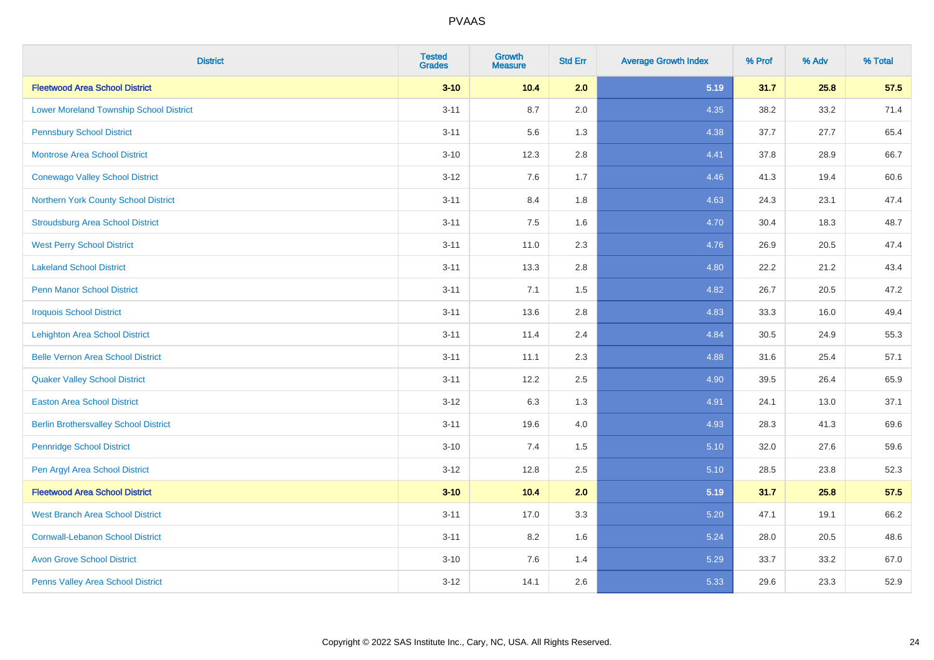| <b>District</b>                                | <b>Tested</b><br><b>Grades</b> | <b>Growth</b><br><b>Measure</b> | <b>Std Err</b> | <b>Average Growth Index</b> | % Prof | % Adv | % Total |
|------------------------------------------------|--------------------------------|---------------------------------|----------------|-----------------------------|--------|-------|---------|
| <b>Fleetwood Area School District</b>          | $3 - 10$                       | 10.4                            | 2.0            | 5.19                        | 31.7   | 25.8  | 57.5    |
| <b>Lower Moreland Township School District</b> | $3 - 11$                       | 8.7                             | 2.0            | 4.35                        | 38.2   | 33.2  | 71.4    |
| <b>Pennsbury School District</b>               | $3 - 11$                       | 5.6                             | 1.3            | 4.38                        | 37.7   | 27.7  | 65.4    |
| <b>Montrose Area School District</b>           | $3 - 10$                       | 12.3                            | 2.8            | 4.41                        | 37.8   | 28.9  | 66.7    |
| <b>Conewago Valley School District</b>         | $3 - 12$                       | 7.6                             | 1.7            | 4.46                        | 41.3   | 19.4  | 60.6    |
| Northern York County School District           | $3 - 11$                       | 8.4                             | 1.8            | 4.63                        | 24.3   | 23.1  | 47.4    |
| <b>Stroudsburg Area School District</b>        | $3 - 11$                       | 7.5                             | 1.6            | 4.70                        | 30.4   | 18.3  | 48.7    |
| <b>West Perry School District</b>              | $3 - 11$                       | 11.0                            | 2.3            | 4.76                        | 26.9   | 20.5  | 47.4    |
| <b>Lakeland School District</b>                | $3 - 11$                       | 13.3                            | 2.8            | 4.80                        | 22.2   | 21.2  | 43.4    |
| <b>Penn Manor School District</b>              | $3 - 11$                       | 7.1                             | 1.5            | 4.82                        | 26.7   | 20.5  | 47.2    |
| <b>Iroquois School District</b>                | $3 - 11$                       | 13.6                            | 2.8            | 4.83                        | 33.3   | 16.0  | 49.4    |
| <b>Lehighton Area School District</b>          | $3 - 11$                       | 11.4                            | 2.4            | 4.84                        | 30.5   | 24.9  | 55.3    |
| <b>Belle Vernon Area School District</b>       | $3 - 11$                       | 11.1                            | 2.3            | 4.88                        | 31.6   | 25.4  | 57.1    |
| <b>Quaker Valley School District</b>           | $3 - 11$                       | 12.2                            | 2.5            | 4.90                        | 39.5   | 26.4  | 65.9    |
| <b>Easton Area School District</b>             | $3 - 12$                       | 6.3                             | 1.3            | 4.91                        | 24.1   | 13.0  | 37.1    |
| <b>Berlin Brothersvalley School District</b>   | $3 - 11$                       | 19.6                            | 4.0            | 4.93                        | 28.3   | 41.3  | 69.6    |
| <b>Pennridge School District</b>               | $3 - 10$                       | 7.4                             | 1.5            | 5.10                        | 32.0   | 27.6  | 59.6    |
| Pen Argyl Area School District                 | $3 - 12$                       | 12.8                            | 2.5            | 5.10                        | 28.5   | 23.8  | 52.3    |
| <b>Fleetwood Area School District</b>          | $3 - 10$                       | 10.4                            | 2.0            | 5.19                        | 31.7   | 25.8  | 57.5    |
| <b>West Branch Area School District</b>        | $3 - 11$                       | 17.0                            | 3.3            | 5.20                        | 47.1   | 19.1  | 66.2    |
| <b>Cornwall-Lebanon School District</b>        | $3 - 11$                       | 8.2                             | 1.6            | 5.24                        | 28.0   | 20.5  | 48.6    |
| <b>Avon Grove School District</b>              | $3 - 10$                       | 7.6                             | 1.4            | 5.29                        | 33.7   | 33.2  | 67.0    |
| Penns Valley Area School District              | $3 - 12$                       | 14.1                            | 2.6            | 5.33                        | 29.6   | 23.3  | 52.9    |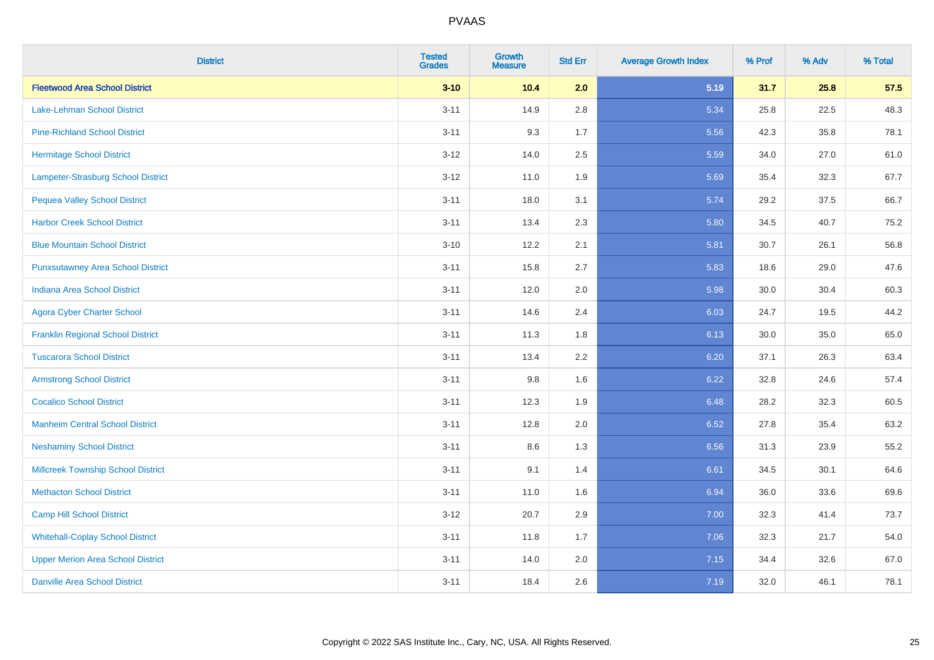| <b>District</b>                           | <b>Tested</b><br><b>Grades</b> | <b>Growth</b><br><b>Measure</b> | <b>Std Err</b> | <b>Average Growth Index</b> | % Prof | % Adv | % Total |
|-------------------------------------------|--------------------------------|---------------------------------|----------------|-----------------------------|--------|-------|---------|
| <b>Fleetwood Area School District</b>     | $3 - 10$                       | 10.4                            | 2.0            | 5.19                        | 31.7   | 25.8  | 57.5    |
| Lake-Lehman School District               | $3 - 11$                       | 14.9                            | 2.8            | 5.34                        | 25.8   | 22.5  | 48.3    |
| <b>Pine-Richland School District</b>      | $3 - 11$                       | 9.3                             | 1.7            | 5.56                        | 42.3   | 35.8  | 78.1    |
| <b>Hermitage School District</b>          | $3 - 12$                       | 14.0                            | 2.5            | 5.59                        | 34.0   | 27.0  | 61.0    |
| Lampeter-Strasburg School District        | $3 - 12$                       | 11.0                            | 1.9            | 5.69                        | 35.4   | 32.3  | 67.7    |
| <b>Pequea Valley School District</b>      | $3 - 11$                       | 18.0                            | 3.1            | 5.74                        | 29.2   | 37.5  | 66.7    |
| <b>Harbor Creek School District</b>       | $3 - 11$                       | 13.4                            | 2.3            | 5.80                        | 34.5   | 40.7  | 75.2    |
| <b>Blue Mountain School District</b>      | $3 - 10$                       | 12.2                            | 2.1            | 5.81                        | 30.7   | 26.1  | 56.8    |
| <b>Punxsutawney Area School District</b>  | $3 - 11$                       | 15.8                            | 2.7            | 5.83                        | 18.6   | 29.0  | 47.6    |
| <b>Indiana Area School District</b>       | $3 - 11$                       | 12.0                            | 2.0            | 5.98                        | 30.0   | 30.4  | 60.3    |
| <b>Agora Cyber Charter School</b>         | $3 - 11$                       | 14.6                            | 2.4            | 6.03                        | 24.7   | 19.5  | 44.2    |
| <b>Franklin Regional School District</b>  | $3 - 11$                       | 11.3                            | 1.8            | 6.13                        | 30.0   | 35.0  | 65.0    |
| <b>Tuscarora School District</b>          | $3 - 11$                       | 13.4                            | 2.2            | 6.20                        | 37.1   | 26.3  | 63.4    |
| <b>Armstrong School District</b>          | $3 - 11$                       | 9.8                             | 1.6            | 6.22                        | 32.8   | 24.6  | 57.4    |
| <b>Cocalico School District</b>           | $3 - 11$                       | 12.3                            | 1.9            | 6.48                        | 28.2   | 32.3  | 60.5    |
| <b>Manheim Central School District</b>    | $3 - 11$                       | 12.8                            | 2.0            | 6.52                        | 27.8   | 35.4  | 63.2    |
| <b>Neshaminy School District</b>          | $3 - 11$                       | 8.6                             | 1.3            | 6.56                        | 31.3   | 23.9  | 55.2    |
| <b>Millcreek Township School District</b> | $3 - 11$                       | 9.1                             | 1.4            | 6.61                        | 34.5   | 30.1  | 64.6    |
| <b>Methacton School District</b>          | $3 - 11$                       | 11.0                            | 1.6            | 6.94                        | 36.0   | 33.6  | 69.6    |
| <b>Camp Hill School District</b>          | $3 - 12$                       | 20.7                            | 2.9            | 7.00                        | 32.3   | 41.4  | 73.7    |
| <b>Whitehall-Coplay School District</b>   | $3 - 11$                       | 11.8                            | 1.7            | 7.06                        | 32.3   | 21.7  | 54.0    |
| <b>Upper Merion Area School District</b>  | $3 - 11$                       | 14.0                            | 2.0            | 7.15                        | 34.4   | 32.6  | 67.0    |
| <b>Danville Area School District</b>      | $3 - 11$                       | 18.4                            | 2.6            | 7.19                        | 32.0   | 46.1  | 78.1    |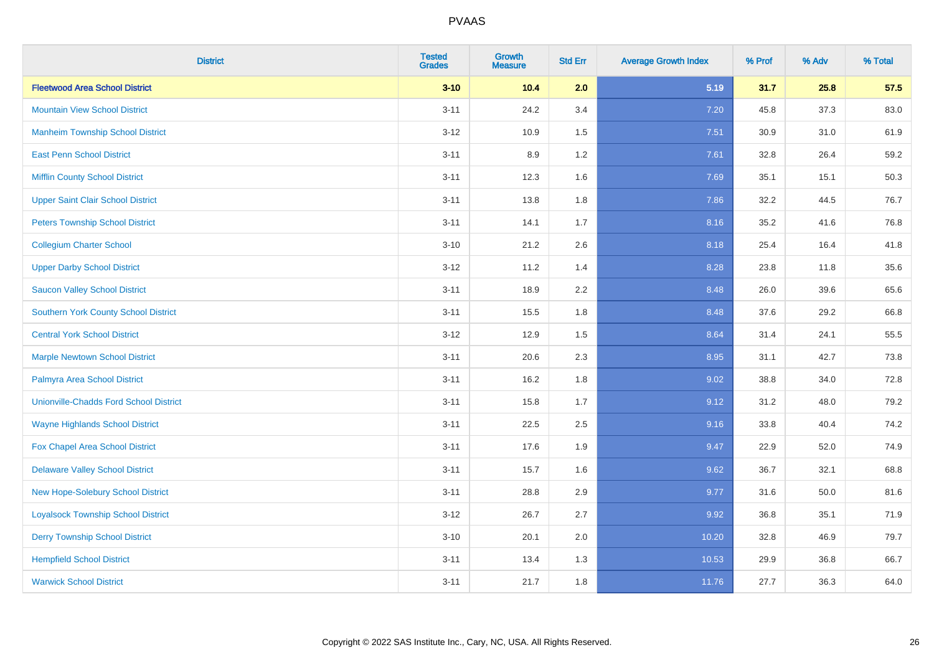| <b>District</b>                               | <b>Tested</b><br><b>Grades</b> | <b>Growth</b><br><b>Measure</b> | <b>Std Err</b> | <b>Average Growth Index</b> | % Prof | % Adv | % Total |
|-----------------------------------------------|--------------------------------|---------------------------------|----------------|-----------------------------|--------|-------|---------|
| <b>Fleetwood Area School District</b>         | $3 - 10$                       | 10.4                            | 2.0            | 5.19                        | 31.7   | 25.8  | 57.5    |
| <b>Mountain View School District</b>          | $3 - 11$                       | 24.2                            | 3.4            | 7.20                        | 45.8   | 37.3  | 83.0    |
| <b>Manheim Township School District</b>       | $3 - 12$                       | 10.9                            | 1.5            | 7.51                        | 30.9   | 31.0  | 61.9    |
| <b>East Penn School District</b>              | $3 - 11$                       | 8.9                             | 1.2            | 7.61                        | 32.8   | 26.4  | 59.2    |
| <b>Mifflin County School District</b>         | $3 - 11$                       | 12.3                            | 1.6            | 7.69                        | 35.1   | 15.1  | 50.3    |
| <b>Upper Saint Clair School District</b>      | $3 - 11$                       | 13.8                            | 1.8            | 7.86                        | 32.2   | 44.5  | 76.7    |
| <b>Peters Township School District</b>        | $3 - 11$                       | 14.1                            | 1.7            | 8.16                        | 35.2   | 41.6  | 76.8    |
| <b>Collegium Charter School</b>               | $3 - 10$                       | 21.2                            | 2.6            | 8.18                        | 25.4   | 16.4  | 41.8    |
| <b>Upper Darby School District</b>            | $3 - 12$                       | 11.2                            | 1.4            | 8.28                        | 23.8   | 11.8  | 35.6    |
| <b>Saucon Valley School District</b>          | $3 - 11$                       | 18.9                            | 2.2            | 8.48                        | 26.0   | 39.6  | 65.6    |
| <b>Southern York County School District</b>   | $3 - 11$                       | 15.5                            | 1.8            | 8.48                        | 37.6   | 29.2  | 66.8    |
| <b>Central York School District</b>           | $3 - 12$                       | 12.9                            | 1.5            | 8.64                        | 31.4   | 24.1  | 55.5    |
| <b>Marple Newtown School District</b>         | $3 - 11$                       | 20.6                            | 2.3            | 8.95                        | 31.1   | 42.7  | 73.8    |
| Palmyra Area School District                  | $3 - 11$                       | 16.2                            | 1.8            | 9.02                        | 38.8   | 34.0  | 72.8    |
| <b>Unionville-Chadds Ford School District</b> | $3 - 11$                       | 15.8                            | 1.7            | 9.12                        | 31.2   | 48.0  | 79.2    |
| <b>Wayne Highlands School District</b>        | $3 - 11$                       | 22.5                            | 2.5            | 9.16                        | 33.8   | 40.4  | 74.2    |
| Fox Chapel Area School District               | $3 - 11$                       | 17.6                            | 1.9            | 9.47                        | 22.9   | 52.0  | 74.9    |
| <b>Delaware Valley School District</b>        | $3 - 11$                       | 15.7                            | 1.6            | 9.62                        | 36.7   | 32.1  | 68.8    |
| New Hope-Solebury School District             | $3 - 11$                       | 28.8                            | 2.9            | 9.77                        | 31.6   | 50.0  | 81.6    |
| <b>Loyalsock Township School District</b>     | $3 - 12$                       | 26.7                            | 2.7            | 9.92                        | 36.8   | 35.1  | 71.9    |
| <b>Derry Township School District</b>         | $3 - 10$                       | 20.1                            | 2.0            | 10.20                       | 32.8   | 46.9  | 79.7    |
| <b>Hempfield School District</b>              | $3 - 11$                       | 13.4                            | 1.3            | 10.53                       | 29.9   | 36.8  | 66.7    |
| <b>Warwick School District</b>                | $3 - 11$                       | 21.7                            | 1.8            | 11.76                       | 27.7   | 36.3  | 64.0    |